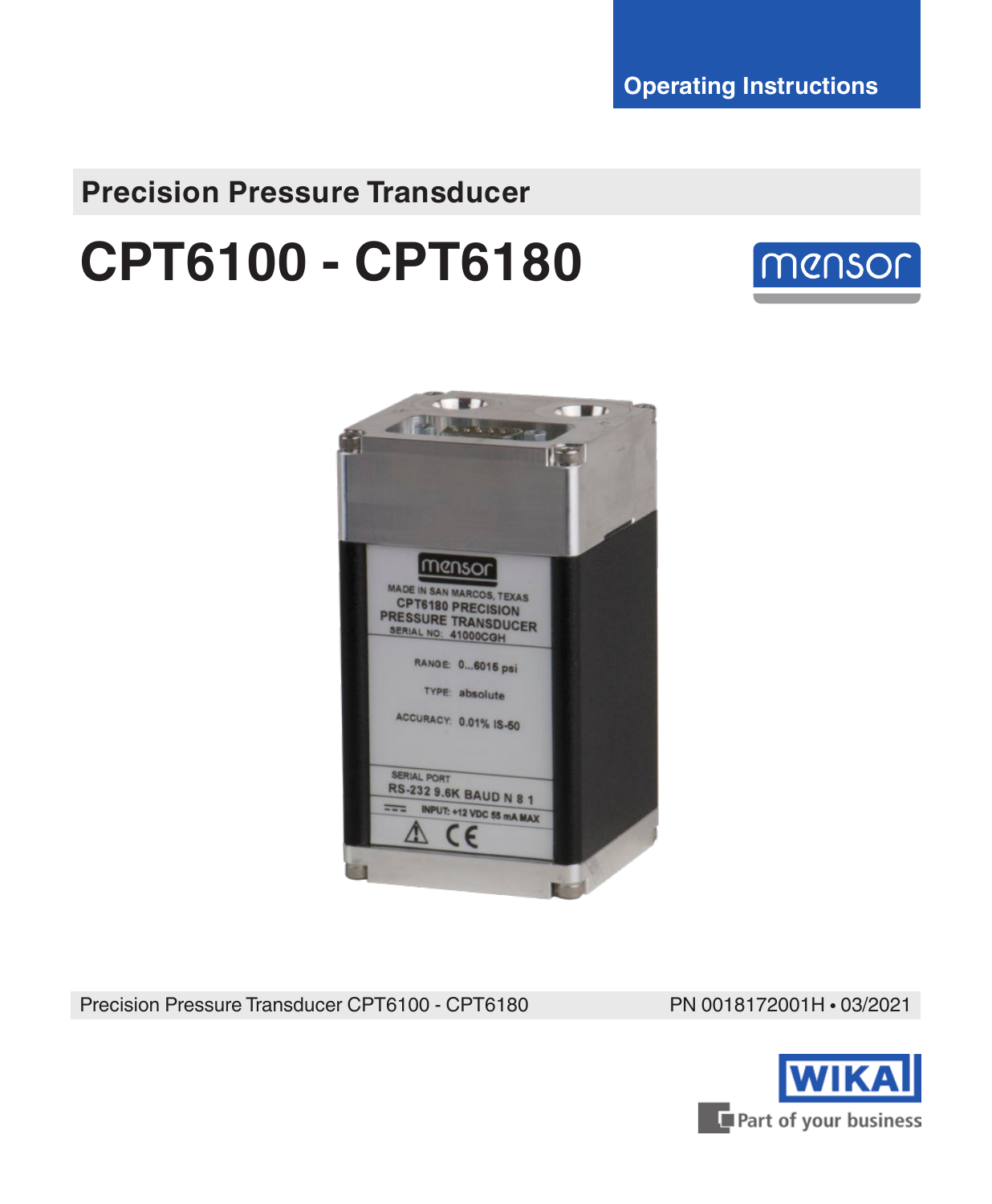**Operating Instructions**

# **Precision Pressure Transducer**

# **CPT6100 - CPT6180**





Precision Pressure Transducer CPT6100 - CPT6180 PN 0018172001H • 03/2021

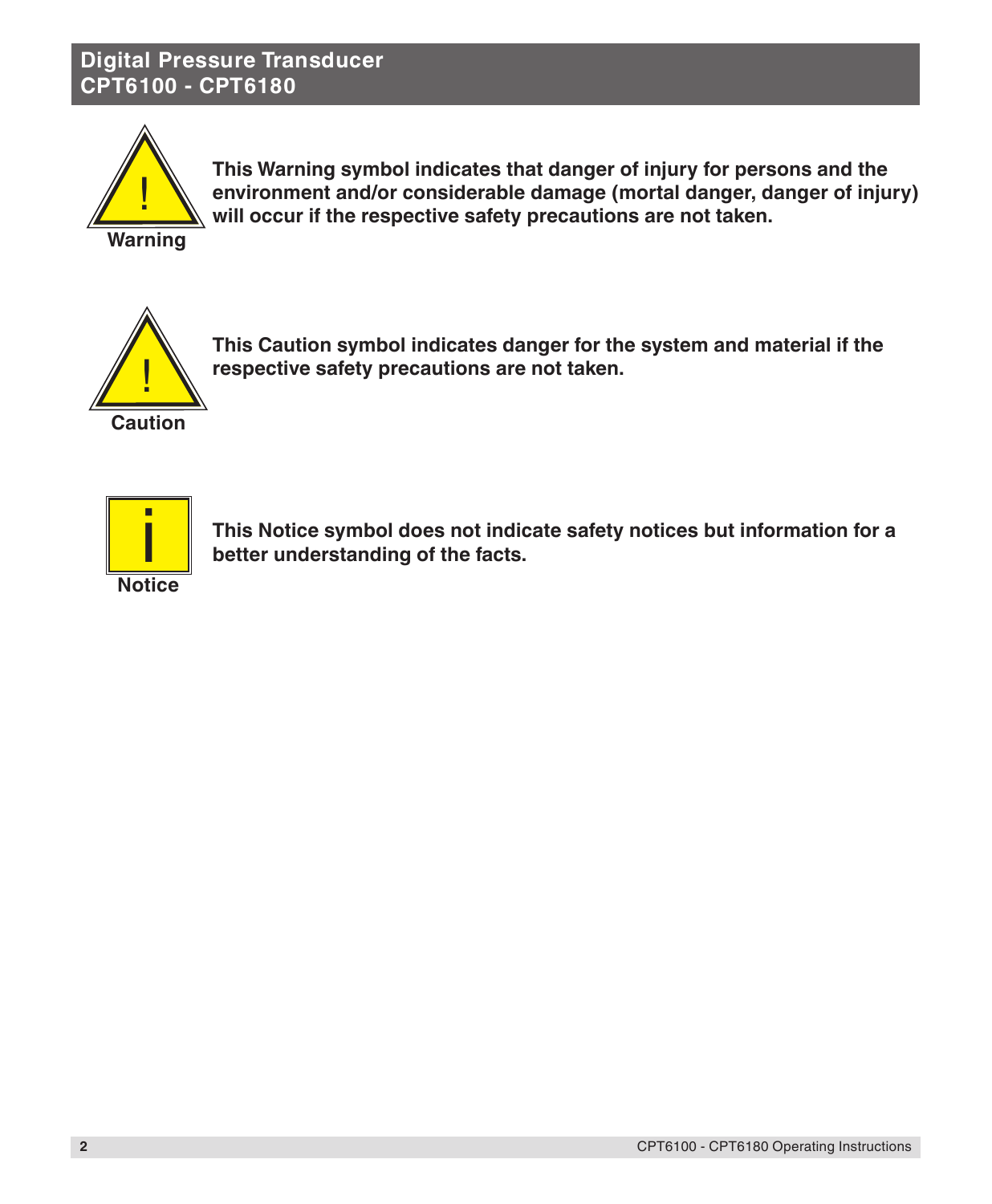

**This Warning symbol indicates that danger of injury for persons and the environment and/or considerable damage (mortal danger, danger of injury) will occur if the respective safety precautions are not taken.**

**Warning**



**This Caution symbol indicates danger for the system and material if the respective safety precautions are not taken.**



**This Notice symbol does not indicate safety notices but information for a better understanding of the facts.**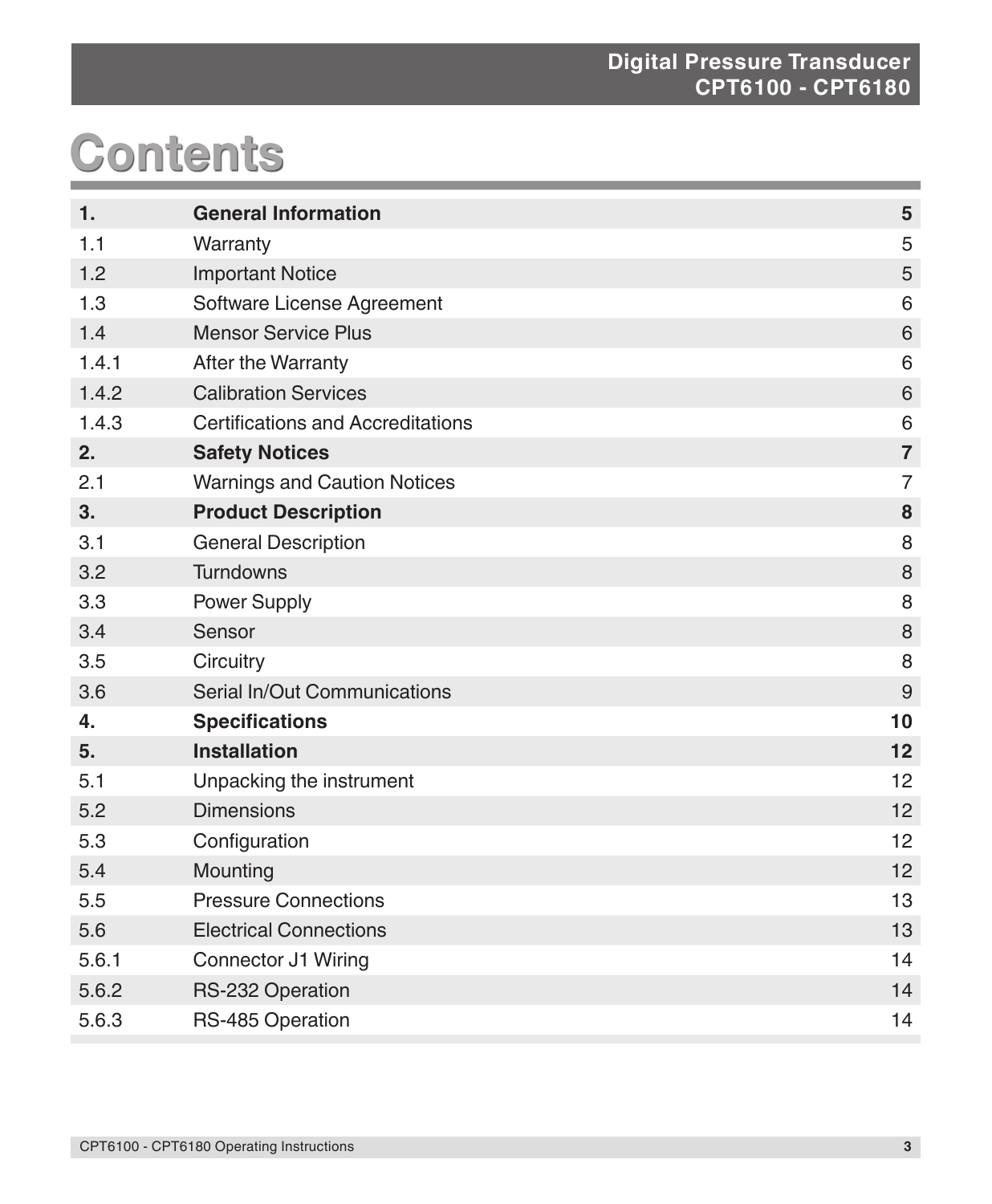# **Contents**

| 1.    | <b>General Information</b>               | $5\phantom{.0}$  |
|-------|------------------------------------------|------------------|
| 1.1   | Warranty                                 | 5                |
| 1.2   | <b>Important Notice</b>                  | 5                |
| 1.3   | Software License Agreement               | 6                |
| 1.4   | <b>Mensor Service Plus</b>               | $\,6$            |
| 1.4.1 | After the Warranty                       | 6                |
| 1.4.2 | <b>Calibration Services</b>              | $\,6\,$          |
| 1.4.3 | <b>Certifications and Accreditations</b> | 6                |
| 2.    | <b>Safety Notices</b>                    | $\overline{7}$   |
| 2.1   | <b>Warnings and Caution Notices</b>      | $\overline{7}$   |
| 3.    | <b>Product Description</b>               | 8                |
| 3.1   | <b>General Description</b>               | 8                |
| 3.2   | <b>Turndowns</b>                         | $\,8\,$          |
| 3.3   | Power Supply                             | 8                |
| 3.4   | Sensor                                   | $\,8\,$          |
| 3.5   | Circuitry                                | 8                |
| 3.6   | Serial In/Out Communications             | $\boldsymbol{9}$ |
| 4.    | <b>Specifications</b>                    | 10               |
| 5.    | <b>Installation</b>                      | 12               |
| 5.1   | Unpacking the instrument                 | 12               |
| 5.2   | <b>Dimensions</b>                        | 12               |
| 5.3   | Configuration                            | 12               |
| 5.4   | Mounting                                 | 12               |
| 5.5   | <b>Pressure Connections</b>              | 13               |
| 5.6   | <b>Electrical Connections</b>            | 13               |
| 5.6.1 | Connector J1 Wiring                      | 14               |
| 5.6.2 | RS-232 Operation                         | 14               |
| 5.6.3 | RS-485 Operation                         | 14               |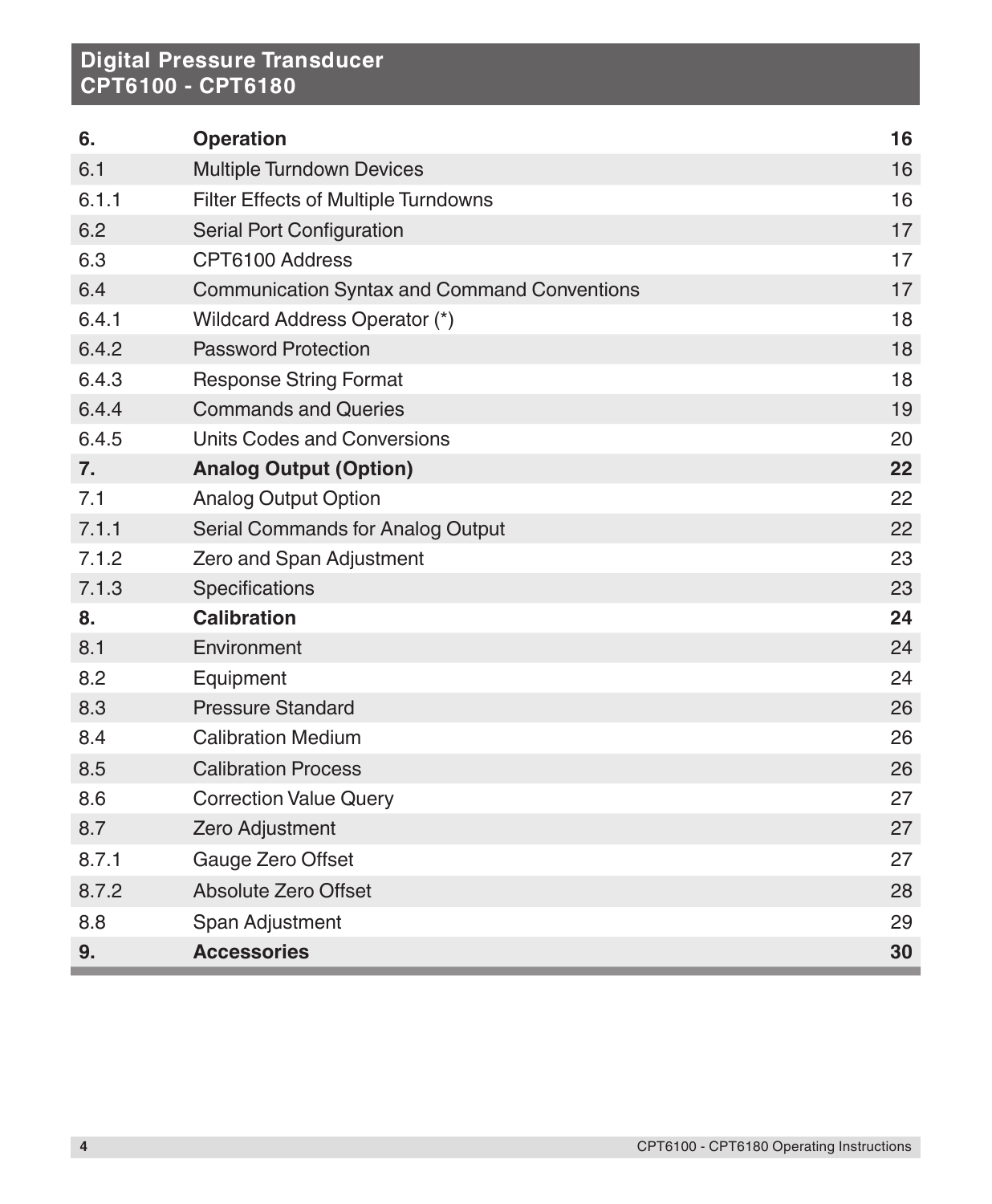| 6.    | <b>Operation</b>                                    | 16 |
|-------|-----------------------------------------------------|----|
| 6.1   | Multiple Turndown Devices                           | 16 |
| 6.1.1 | Filter Effects of Multiple Turndowns                | 16 |
| 6.2   | Serial Port Configuration                           | 17 |
| 6.3   | CPT6100 Address                                     | 17 |
| 6.4   | <b>Communication Syntax and Command Conventions</b> | 17 |
| 6.4.1 | Wildcard Address Operator (*)                       | 18 |
| 6.4.2 | <b>Password Protection</b>                          | 18 |
| 6.4.3 | <b>Response String Format</b>                       | 18 |
| 6.4.4 | <b>Commands and Queries</b>                         | 19 |
| 6.4.5 | Units Codes and Conversions                         | 20 |
| 7.    | <b>Analog Output (Option)</b>                       | 22 |
| 7.1   | <b>Analog Output Option</b>                         | 22 |
| 7.1.1 | Serial Commands for Analog Output                   | 22 |
| 7.1.2 | Zero and Span Adjustment                            | 23 |
| 7.1.3 | Specifications                                      | 23 |
| 8.    | <b>Calibration</b>                                  | 24 |
| 8.1   | Environment                                         | 24 |
| 8.2   | Equipment                                           | 24 |
| 8.3   | <b>Pressure Standard</b>                            | 26 |
| 8.4   | <b>Calibration Medium</b>                           | 26 |
| 8.5   | <b>Calibration Process</b>                          | 26 |
| 8.6   | <b>Correction Value Query</b>                       | 27 |
| 8.7   | Zero Adjustment                                     | 27 |
| 8.7.1 | Gauge Zero Offset                                   | 27 |
| 8.7.2 | Absolute Zero Offset                                | 28 |
| 8.8   | Span Adjustment                                     | 29 |
| 9.    | <b>Accessories</b>                                  | 30 |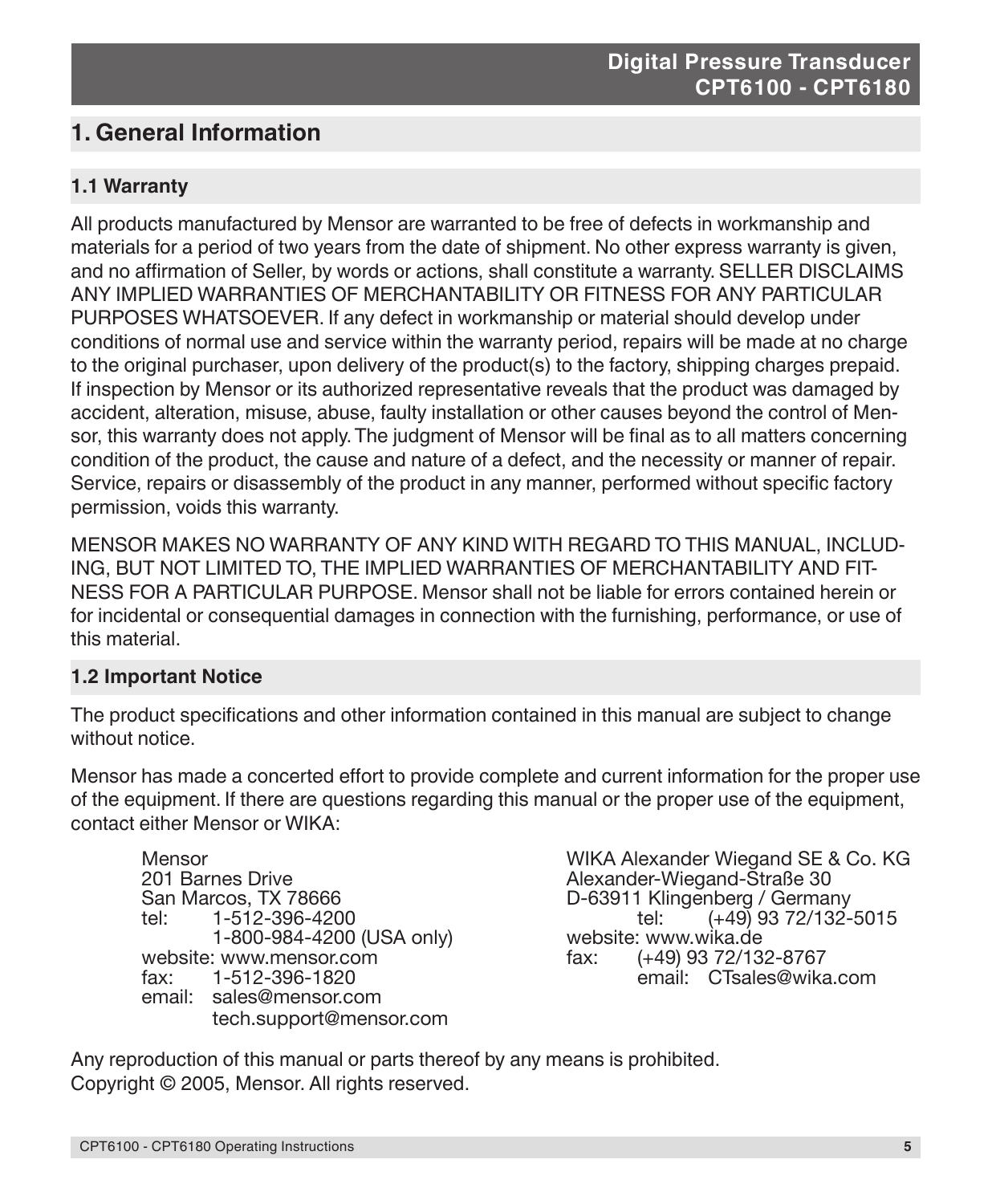# **1. General Information**

## **1.1 Warranty**

All products manufactured by Mensor are warranted to be free of defects in workmanship and materials for a period of two years from the date of shipment. No other express warranty is given, and no affirmation of Seller, by words or actions, shall constitute a warranty. SELLER DISCLAIMS ANY IMPLIED WARRANTIES OF MERCHANTABILITY OR FITNESS FOR ANY PARTICULAR PURPOSES WHATSOEVER. If any defect in workmanship or material should develop under conditions of normal use and service within the warranty period, repairs will be made at no charge to the original purchaser, upon delivery of the product(s) to the factory, shipping charges prepaid. If inspection by Mensor or its authorized representative reveals that the product was damaged by accident, alteration, misuse, abuse, faulty installation or other causes beyond the control of Mensor, this warranty does not apply. The judgment of Mensor will be final as to all matters concerning condition of the product, the cause and nature of a defect, and the necessity or manner of repair. Service, repairs or disassembly of the product in any manner, performed without specific factory permission, voids this warranty.

MENSOR MAKES NO WARRANTY OF ANY KIND WITH REGARD TO THIS MANUAL, INCLUD-ING, BUT NOT LIMITED TO, THE IMPLIED WARRANTIES OF MERCHANTABILITY AND FIT-NESS FOR A PARTICULAR PURPOSE. Mensor shall not be liable for errors contained herein or for incidental or consequential damages in connection with the furnishing, performance, or use of this material.

## **1.2 Important Notice**

The product specifications and other information contained in this manual are subject to change without notice.

Mensor has made a concerted effort to provide complete and current information for the proper use of the equipment. If there are questions regarding this manual or the proper use of the equipment, contact either Mensor or WIKA:

201 Barnes Drive <br>201 Barnes Drive Alexander-Wiegand-Straße 30<br>201 Barnes D-63911 Klingenberg / German tel: 1-512-396-4200 tel: (+49) 93 72/132-5015 1-800-984-4200 (USA only) website: www.wika.de website: www.mensor.com fax: (+49) 93 72/132-8767 fax: 1-512-396-1820 email: CTsales@wika.com email: sales@mensor.com tech.support@mensor.com

Mensor Mensor (1990) MELLA Alexander Wiegand SE & Co. KG.<br>Mexander-Wiegand-Straße 30 D-63911 Klingenberg / Germany<br>tel: (449) 93 72/132-5015

Any reproduction of this manual or parts thereof by any means is prohibited. Copyright © 2005, Mensor. All rights reserved.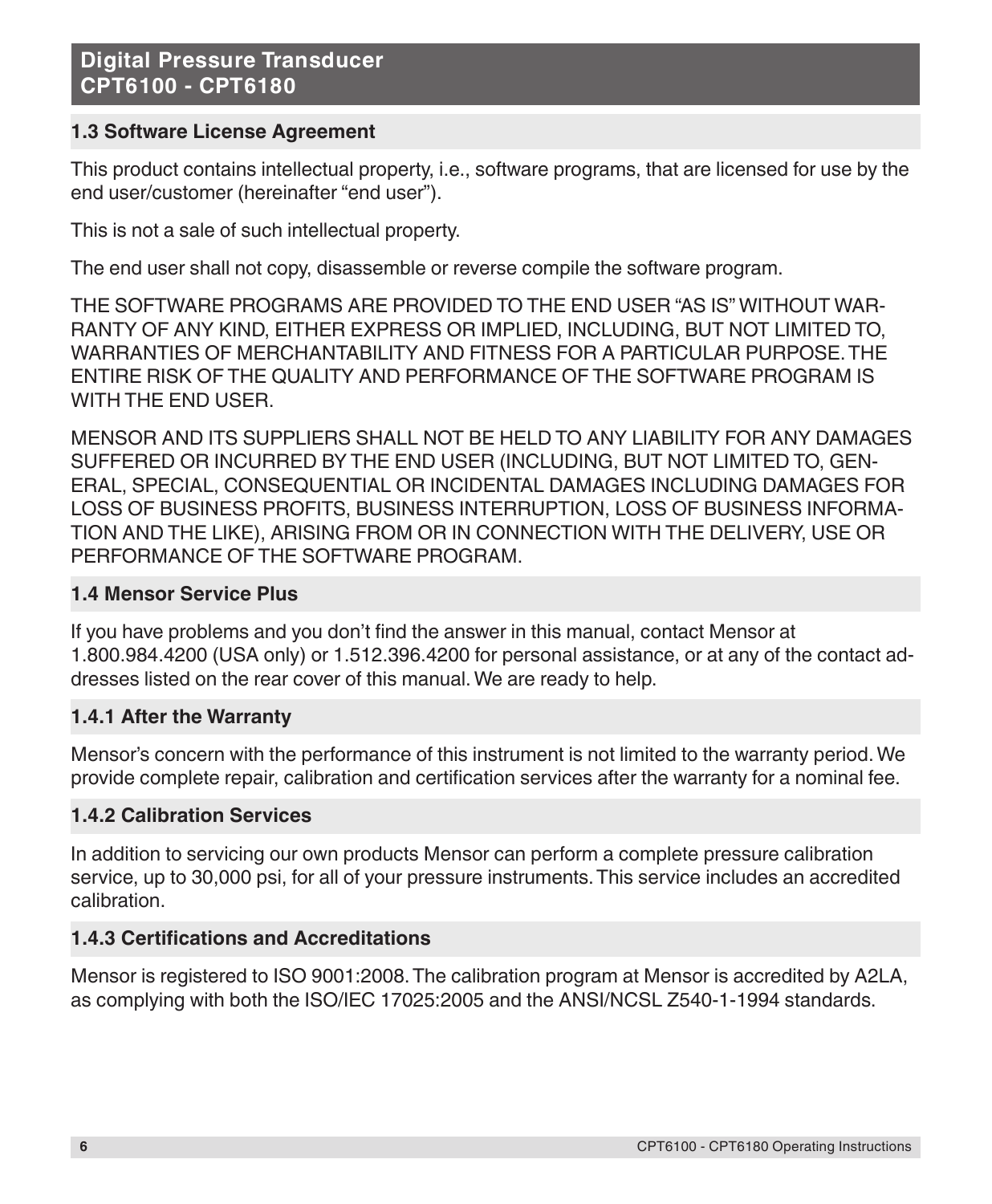# **1.3 Software License Agreement**

This product contains intellectual property, i.e., software programs, that are licensed for use by the end user/customer (hereinafter "end user").

This is not a sale of such intellectual property.

The end user shall not copy, disassemble or reverse compile the software program.

THE SOFTWARE PROGRAMS ARE PROVIDED TO THE END USER "AS IS" WITHOUT WAR-RANTY OF ANY KIND, EITHER EXPRESS OR IMPLIED, INCLUDING, BUT NOT LIMITED TO, WARRANTIES OF MERCHANTABILITY AND FITNESS FOR A PARTICULAR PURPOSE. THE ENTIRE RISK OF THE QUALITY AND PERFORMANCE OF THE SOFTWARE PROGRAM IS WITH THE END USER.

MENSOR AND ITS SUPPLIERS SHALL NOT BE HELD TO ANY LIABILITY FOR ANY DAMAGES SUFFERED OR INCURRED BY THE END USER (INCLUDING, BUT NOT LIMITED TO, GEN-ERAL, SPECIAL, CONSEQUENTIAL OR INCIDENTAL DAMAGES INCLUDING DAMAGES FOR LOSS OF BUSINESS PROFITS, BUSINESS INTERRUPTION, LOSS OF BUSINESS INFORMA-TION AND THE LIKE), ARISING FROM OR IN CONNECTION WITH THE DELIVERY, USE OR PERFORMANCE OF THE SOFTWARE PROGRAM.

## **1.4 Mensor Service Plus**

If you have problems and you don't find the answer in this manual, contact Mensor at 1.800.984.4200 (USA only) or 1.512.396.4200 for personal assistance, or at any of the contact addresses listed on the rear cover of this manual. We are ready to help.

## **1.4.1 After the Warranty**

Mensor's concern with the performance of this instrument is not limited to the warranty period. We provide complete repair, calibration and certification services after the warranty for a nominal fee.

## **1.4.2 Calibration Services**

In addition to servicing our own products Mensor can perform a complete pressure calibration service, up to 30,000 psi, for all of your pressure instruments. This service includes an accredited calibration.

## **1.4.3 Certifications and Accreditations**

Mensor is registered to ISO 9001:2008. The calibration program at Mensor is accredited by A2LA, as complying with both the ISO/IEC 17025:2005 and the ANSI/NCSL Z540-1-1994 standards.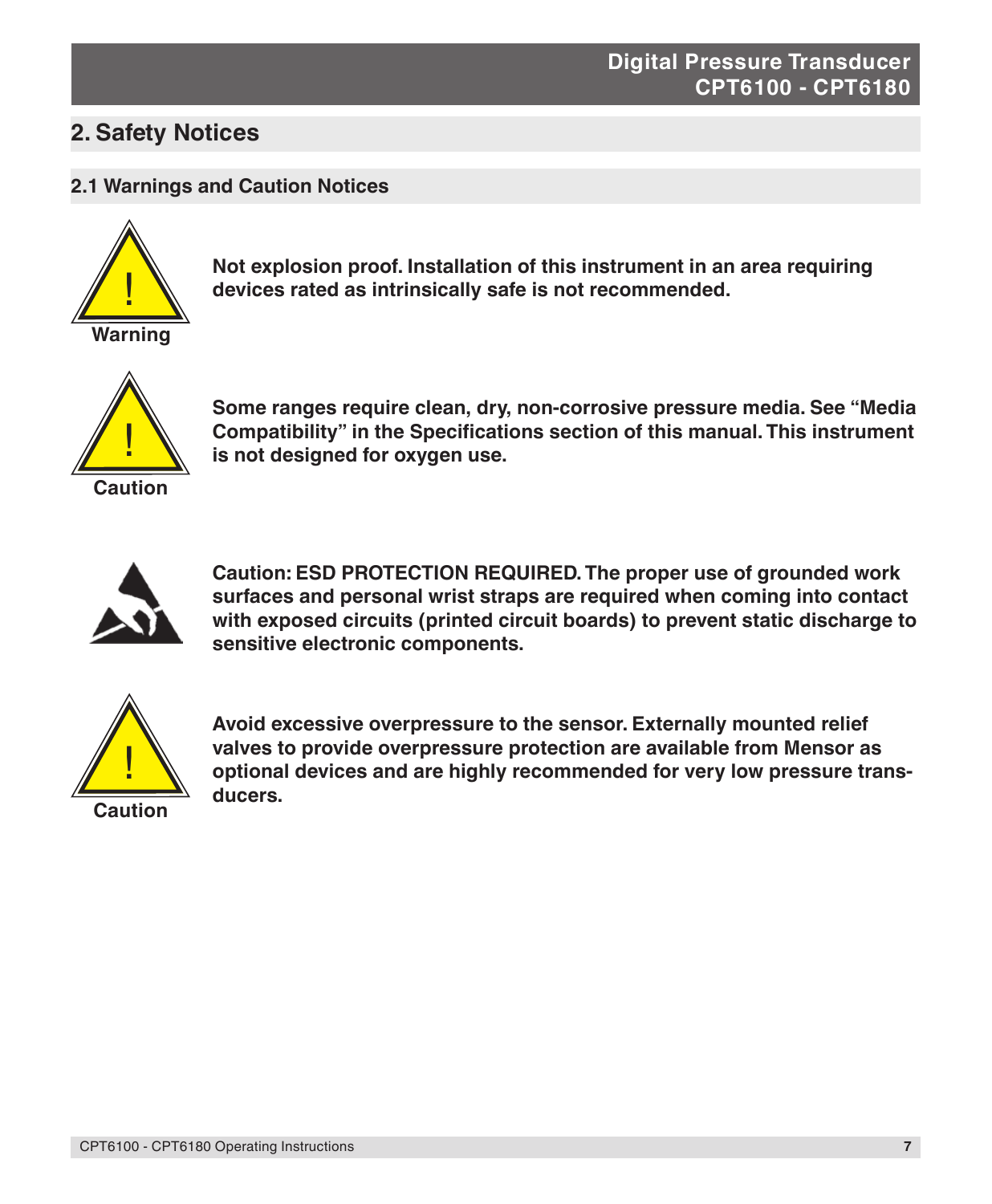# **2. Safety Notices**

#### **2.1 Warnings and Caution Notices**



**Not explosion proof. Installation of this instrument in an area requiring devices rated as intrinsically safe is not recommended.**



**Some ranges require clean, dry, non-corrosive pressure media. See "Media Compatibility" in the Specifications section of this manual. This instrument is not designed for oxygen use.**



**Caution: ESD PROTECTION REQUIRED. The proper use of grounded work surfaces and personal wrist straps are required when coming into contact with exposed circuits (printed circuit boards) to prevent static discharge to sensitive electronic components.**



**Avoid excessive overpressure to the sensor. Externally mounted relief valves to provide overpressure protection are available from Mensor as optional devices and are highly recommended for very low pressure transducers.**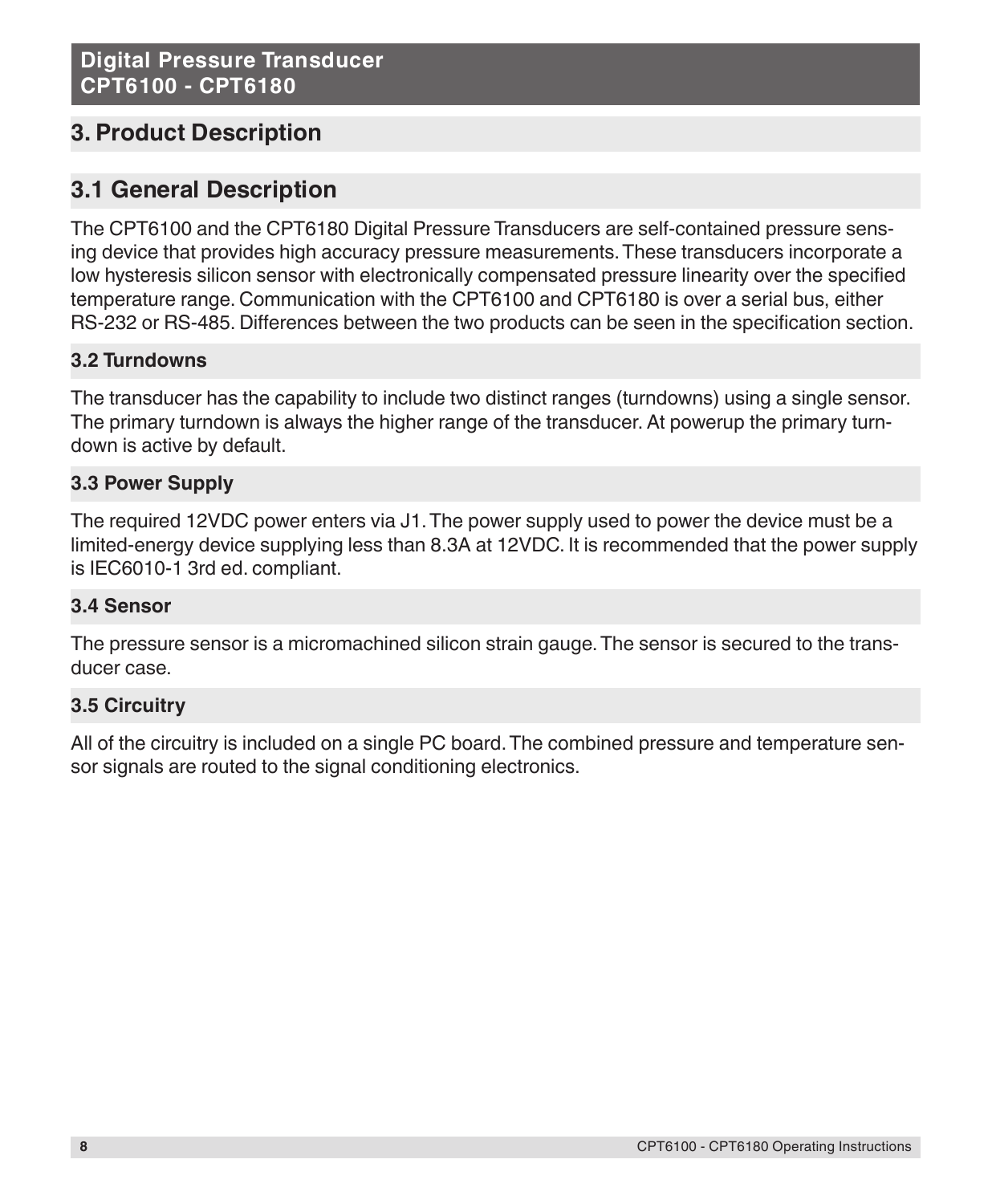# **3. Product Description**

# **3.1 General Description**

The CPT6100 and the CPT6180 Digital Pressure Transducers are self-contained pressure sensing device that provides high accuracy pressure measurements. These transducers incorporate a low hysteresis silicon sensor with electronically compensated pressure linearity over the specified temperature range. Communication with the CPT6100 and CPT6180 is over a serial bus, either RS-232 or RS-485. Differences between the two products can be seen in the specification section.

# **3.2 Turndowns**

The transducer has the capability to include two distinct ranges (turndowns) using a single sensor. The primary turndown is always the higher range of the transducer. At powerup the primary turndown is active by default.

## **3.3 Power Supply**

The required 12VDC power enters via J1. The power supply used to power the device must be a limited-energy device supplying less than 8.3A at 12VDC. It is recommended that the power supply is IEC6010-1 3rd ed. compliant.

## **3.4 Sensor**

The pressure sensor is a micromachined silicon strain gauge. The sensor is secured to the transducer case.

## **3.5 Circuitry**

All of the circuitry is included on a single PC board. The combined pressure and temperature sensor signals are routed to the signal conditioning electronics.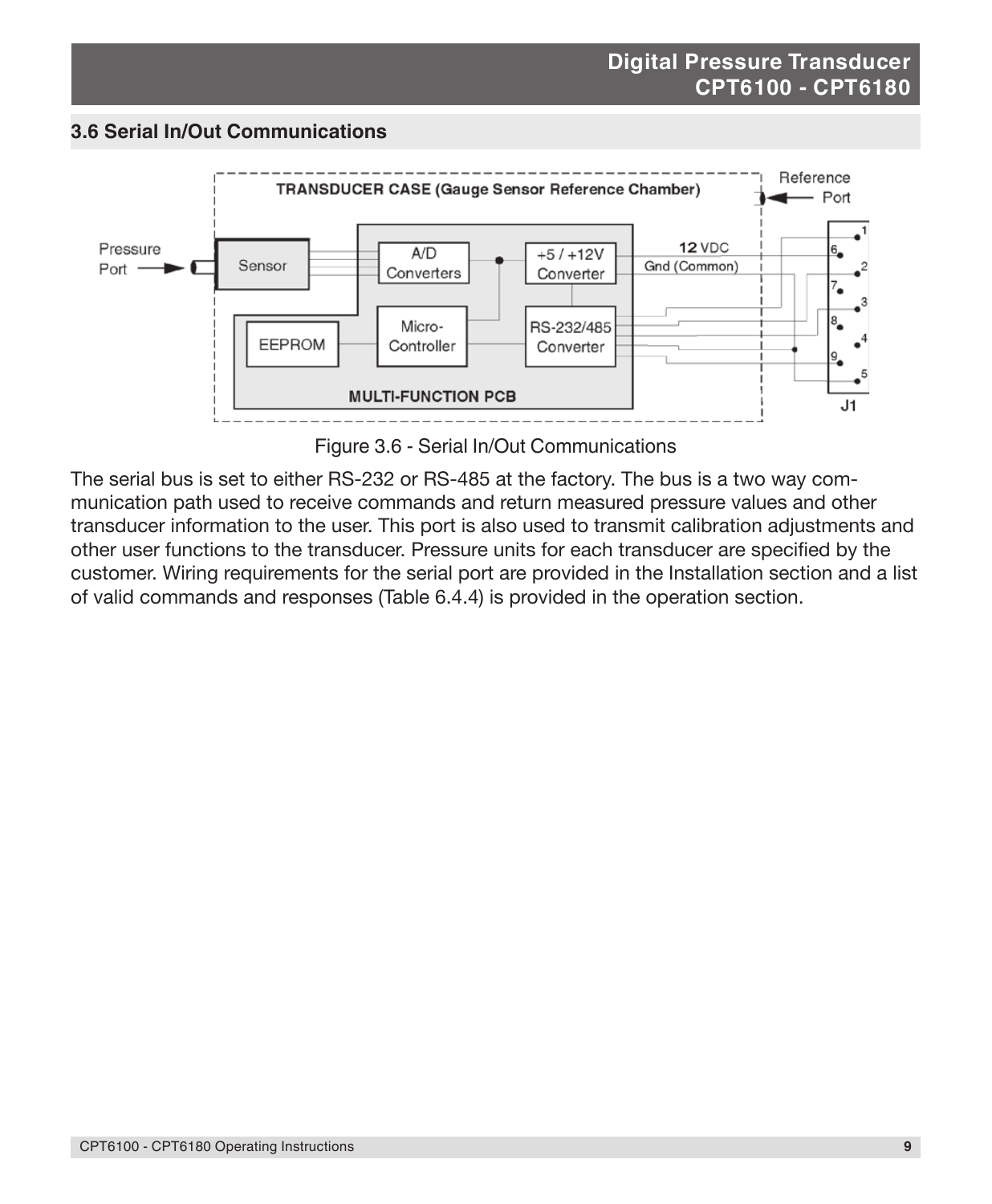#### **3.6 Serial In/Out Communications**



Figure 3.6 - Serial In/Out Communications

The serial bus is set to either RS-232 or RS-485 at the factory. The bus is a two way communication path used to receive commands and return measured pressure values and other transducer information to the user. This port is also used to transmit calibration adjustments and other user functions to the transducer. Pressure units for each transducer are specified by the customer. Wiring requirements for the serial port are provided in the Installation section and a list of valid commands and responses (Table 6.4.4) is provided in the operation section.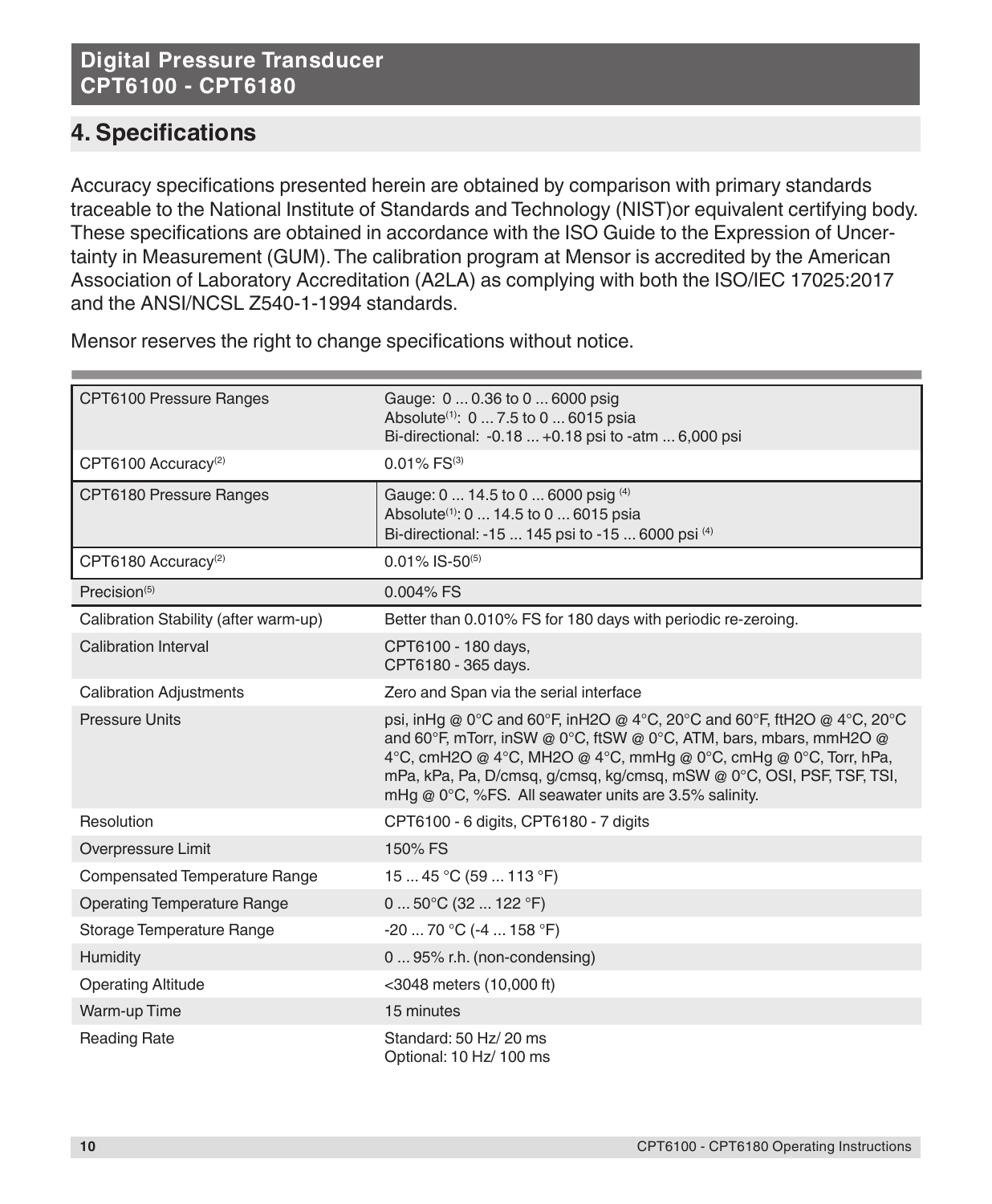# **4. Specifications**

Accuracy specifications presented herein are obtained by comparison with primary standards traceable to the National Institute of Standards and Technology (NIST)or equivalent certifying body. These specifications are obtained in accordance with the ISO Guide to the Expression of Uncertainty in Measurement (GUM). The calibration program at Mensor is accredited by the American Association of Laboratory Accreditation (A2LA) as complying with both the ISO/IEC 17025:2017 and the ANSI/NCSL Z540-1-1994 standards.

| CPT6100 Pressure Ranges               | Gauge: 0  0.36 to 0  6000 psig<br>Absolute <sup>(1)</sup> : 0  7.5 to 0  6015 psia<br>Bi-directional: -0.18  +0.18 psi to -atm  6,000 psi                                                                                                                                                                                                              |  |
|---------------------------------------|--------------------------------------------------------------------------------------------------------------------------------------------------------------------------------------------------------------------------------------------------------------------------------------------------------------------------------------------------------|--|
| CPT6100 Accuracy <sup>(2)</sup>       | $0.01\%$ FS <sup>(3)</sup>                                                                                                                                                                                                                                                                                                                             |  |
| CPT6180 Pressure Ranges               | Gauge: 0  14.5 to 0  6000 psig (4)<br>Absolute <sup>(1)</sup> : 0  14.5 to 0  6015 psia<br>Bi-directional: -15  145 psi to -15  6000 psi (4)                                                                                                                                                                                                           |  |
| CPT6180 Accuracy <sup>(2)</sup>       | $0.01\%$ IS-50 <sup>(5)</sup>                                                                                                                                                                                                                                                                                                                          |  |
| Precision <sup>(5)</sup>              | $0.004\%$ FS                                                                                                                                                                                                                                                                                                                                           |  |
| Calibration Stability (after warm-up) | Better than 0.010% FS for 180 days with periodic re-zeroing.                                                                                                                                                                                                                                                                                           |  |
| Calibration Interval                  | CPT6100 - 180 days,<br>CPT6180 - 365 days.                                                                                                                                                                                                                                                                                                             |  |
| <b>Calibration Adjustments</b>        | Zero and Span via the serial interface                                                                                                                                                                                                                                                                                                                 |  |
| <b>Pressure Units</b>                 | psi, in Hq @ 0°C and 60°F, in H2O @ 4°C, 20°C and 60°F, ft H2O @ 4°C, 20°C<br>and 60°F, mTorr, inSW @ 0°C, ftSW @ 0°C, ATM, bars, mbars, mmH2O @<br>4°C, cmH2O @ 4°C, MH2O @ 4°C, mmHg @ 0°C, cmHg @ 0°C, Torr, hPa,<br>mPa, kPa, Pa, D/cmsq, g/cmsq, kg/cmsq, mSW @ 0°C, OSI, PSF, TSF, TSI,<br>mHg @ 0°C, %FS. All seawater units are 3.5% salinity. |  |
| Resolution                            | CPT6100 - 6 digits, CPT6180 - 7 digits                                                                                                                                                                                                                                                                                                                 |  |
| Overpressure Limit                    | 150% FS                                                                                                                                                                                                                                                                                                                                                |  |
| <b>Compensated Temperature Range</b>  | 15  45 °C (59  113 °F)                                                                                                                                                                                                                                                                                                                                 |  |
| <b>Operating Temperature Range</b>    | $050^{\circ}$ C (32  122 $^{\circ}$ F)                                                                                                                                                                                                                                                                                                                 |  |
| Storage Temperature Range             | $-20$ 70 °C ( $-4$ 158 °F)                                                                                                                                                                                                                                                                                                                             |  |
| Humidity                              | 0  95% r.h. (non-condensing)                                                                                                                                                                                                                                                                                                                           |  |
| <b>Operating Altitude</b>             | <3048 meters (10,000 ft)                                                                                                                                                                                                                                                                                                                               |  |
| Warm-up Time                          | 15 minutes                                                                                                                                                                                                                                                                                                                                             |  |
| <b>Reading Rate</b>                   | Standard: 50 Hz/ 20 ms<br>Optional: 10 Hz/ 100 ms                                                                                                                                                                                                                                                                                                      |  |

Mensor reserves the right to change specifications without notice.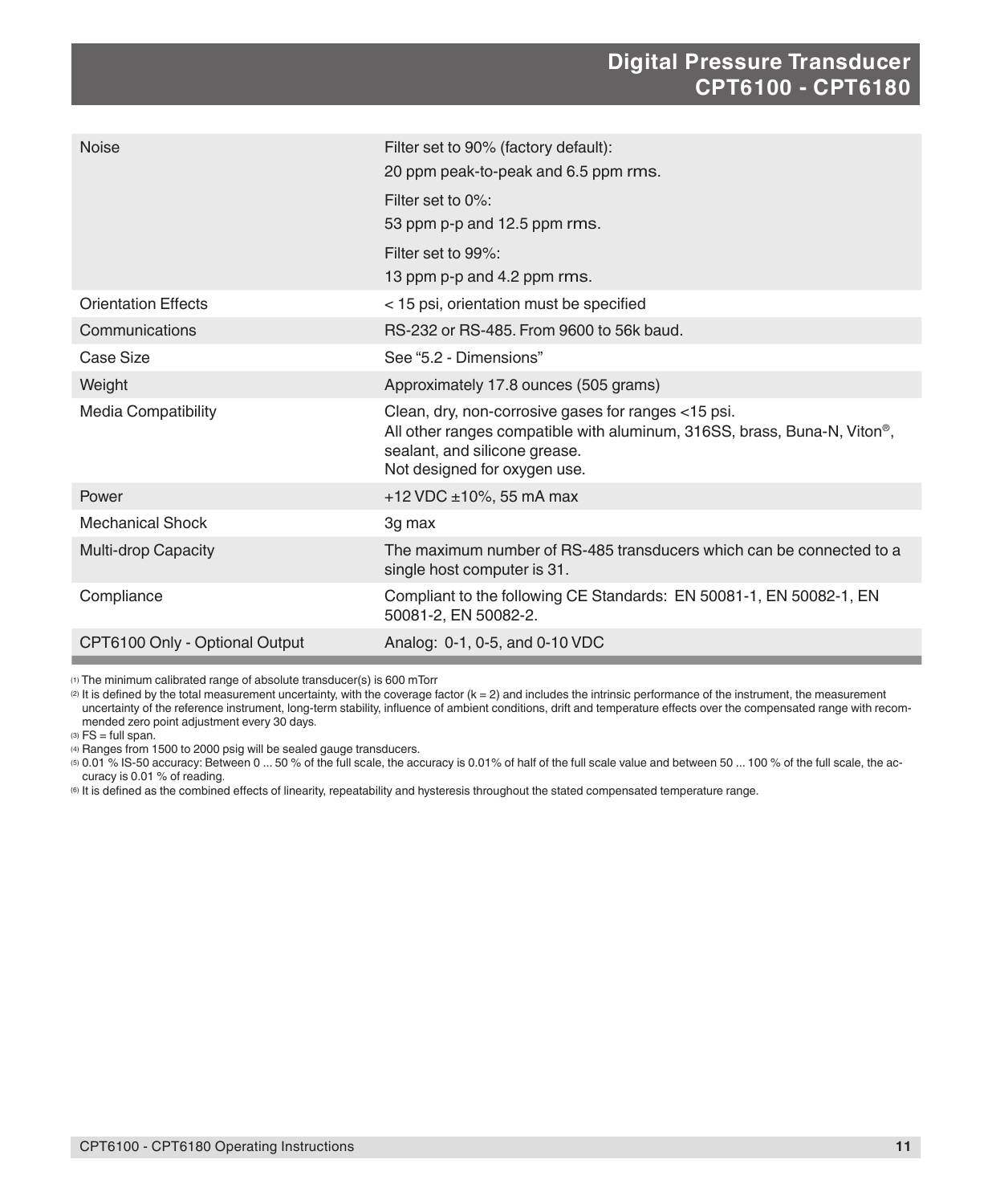| <b>Noise</b>                   | Filter set to 90% (factory default):<br>20 ppm peak-to-peak and 6.5 ppm rms.                                                                                                                                  |
|--------------------------------|---------------------------------------------------------------------------------------------------------------------------------------------------------------------------------------------------------------|
|                                | Filter set to 0%:<br>53 ppm p-p and 12.5 ppm rms.                                                                                                                                                             |
|                                | Filter set to 99%:                                                                                                                                                                                            |
|                                | 13 ppm p-p and 4.2 ppm rms.                                                                                                                                                                                   |
| <b>Orientation Effects</b>     | < 15 psi, orientation must be specified                                                                                                                                                                       |
| Communications                 | RS-232 or RS-485. From 9600 to 56k baud.                                                                                                                                                                      |
| Case Size                      | See "5.2 - Dimensions"                                                                                                                                                                                        |
| Weight                         | Approximately 17.8 ounces (505 grams)                                                                                                                                                                         |
| <b>Media Compatibility</b>     | Clean, dry, non-corrosive gases for ranges <15 psi.<br>All other ranges compatible with aluminum, 316SS, brass, Buna-N, Viton <sup>®</sup> ,<br>sealant, and silicone grease.<br>Not designed for oxygen use. |
| Power                          | +12 VDC $\pm$ 10%, 55 mA max                                                                                                                                                                                  |
| <b>Mechanical Shock</b>        | 3g max                                                                                                                                                                                                        |
| <b>Multi-drop Capacity</b>     | The maximum number of RS-485 transducers which can be connected to a<br>single host computer is 31.                                                                                                           |
| Compliance                     | Compliant to the following CE Standards: EN 50081-1, EN 50082-1, EN<br>50081-2, EN 50082-2.                                                                                                                   |
| CPT6100 Only - Optional Output | Analog: 0-1, 0-5, and 0-10 VDC                                                                                                                                                                                |

(1) The minimum calibrated range of absolute transducer(s) is 600 mTorr

 $\varnothing$  It is defined by the total measurement uncertainty, with the coverage factor  $(k = 2)$  and includes the intrinsic performance of the instrument, the measurement uncertainty of the reference instrument, long-term stability, influence of ambient conditions, drift and temperature effects over the compensated range with recommended zero point adjustment every 30 days.

 $(3)$  FS = full span.

(4) Ranges from 1500 to 2000 psig will be sealed gauge transducers.

(5) 0.01 % IS-50 accuracy: Between 0 ... 50 % of the full scale, the accuracy is 0.01% of half of the full scale value and between 50 ... 100 % of the full scale, the accuracy is 0.01 % of reading.

(6) It is defined as the combined effects of linearity, repeatability and hysteresis throughout the stated compensated temperature range.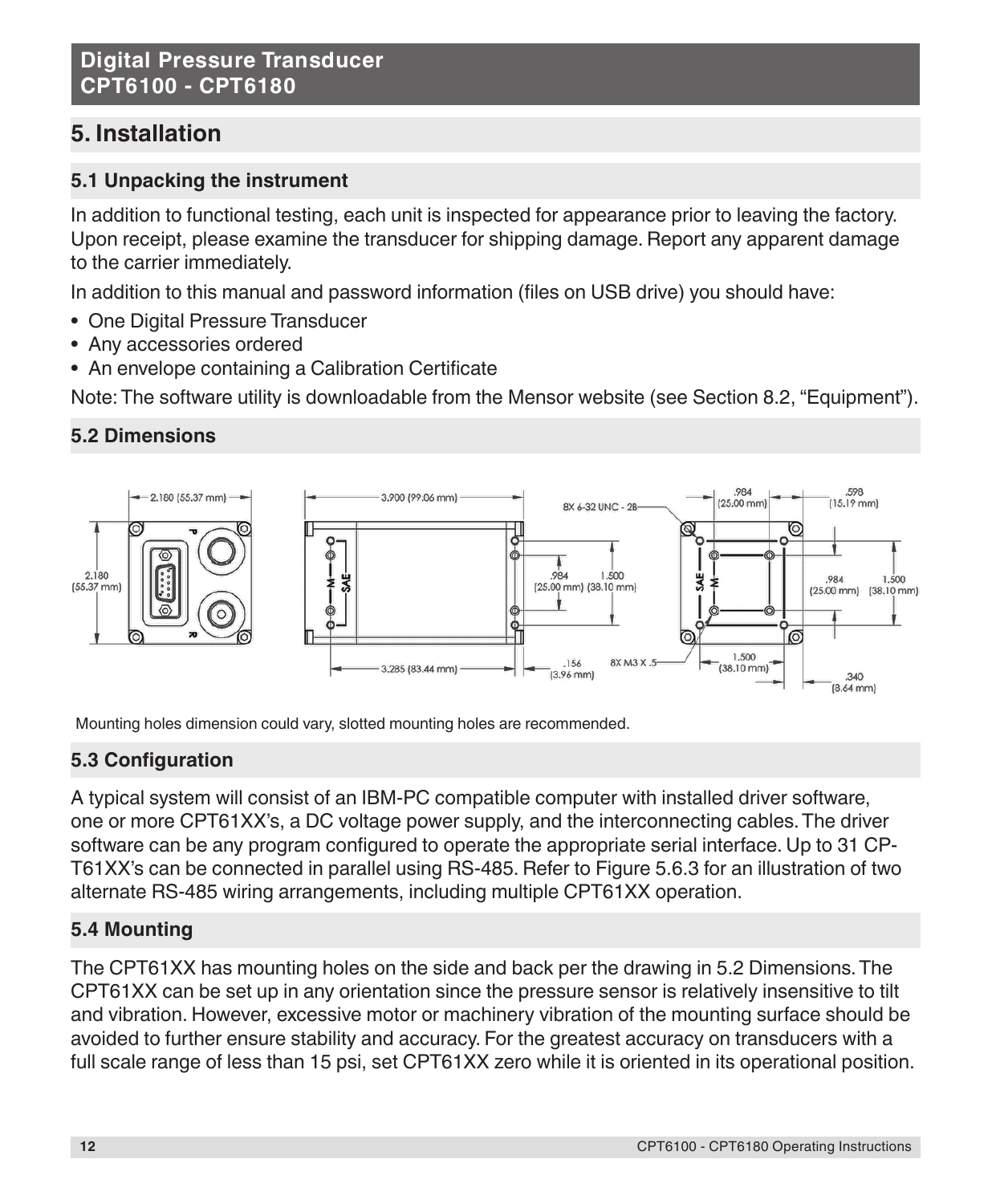# **5. Installation**

# **5.1 Unpacking the instrument**

In addition to functional testing, each unit is inspected for appearance prior to leaving the factory. Upon receipt, please examine the transducer for shipping damage. Report any apparent damage to the carrier immediately.

In addition to this manual and password information (files on USB drive) you should have:

- One Digital Pressure Transducer
- Any accessories ordered
- An envelope containing a Calibration Certificate

Note: The software utility is downloadable from the Mensor website (see Section 8.2, "Equipment").

# **5.2 Dimensions**



Mounting holes dimension could vary, slotted mounting holes are recommended.

# **5.3 Configuration**

A typical system will consist of an IBM-PC compatible computer with installed driver software, one or more CPT61XX's, a DC voltage power supply, and the interconnecting cables. The driver software can be any program configured to operate the appropriate serial interface. Up to 31 CP-T61XX's can be connected in parallel using RS-485. Refer to Figure 5.6.3 for an illustration of two alternate RS-485 wiring arrangements, including multiple CPT61XX operation.

# **5.4 Mounting**

The CPT61XX has mounting holes on the side and back per the drawing in 5.2 Dimensions. The CPT61XX can be set up in any orientation since the pressure sensor is relatively insensitive to tilt and vibration. However, excessive motor or machinery vibration of the mounting surface should be avoided to further ensure stability and accuracy. For the greatest accuracy on transducers with a full scale range of less than 15 psi, set CPT61XX zero while it is oriented in its operational position.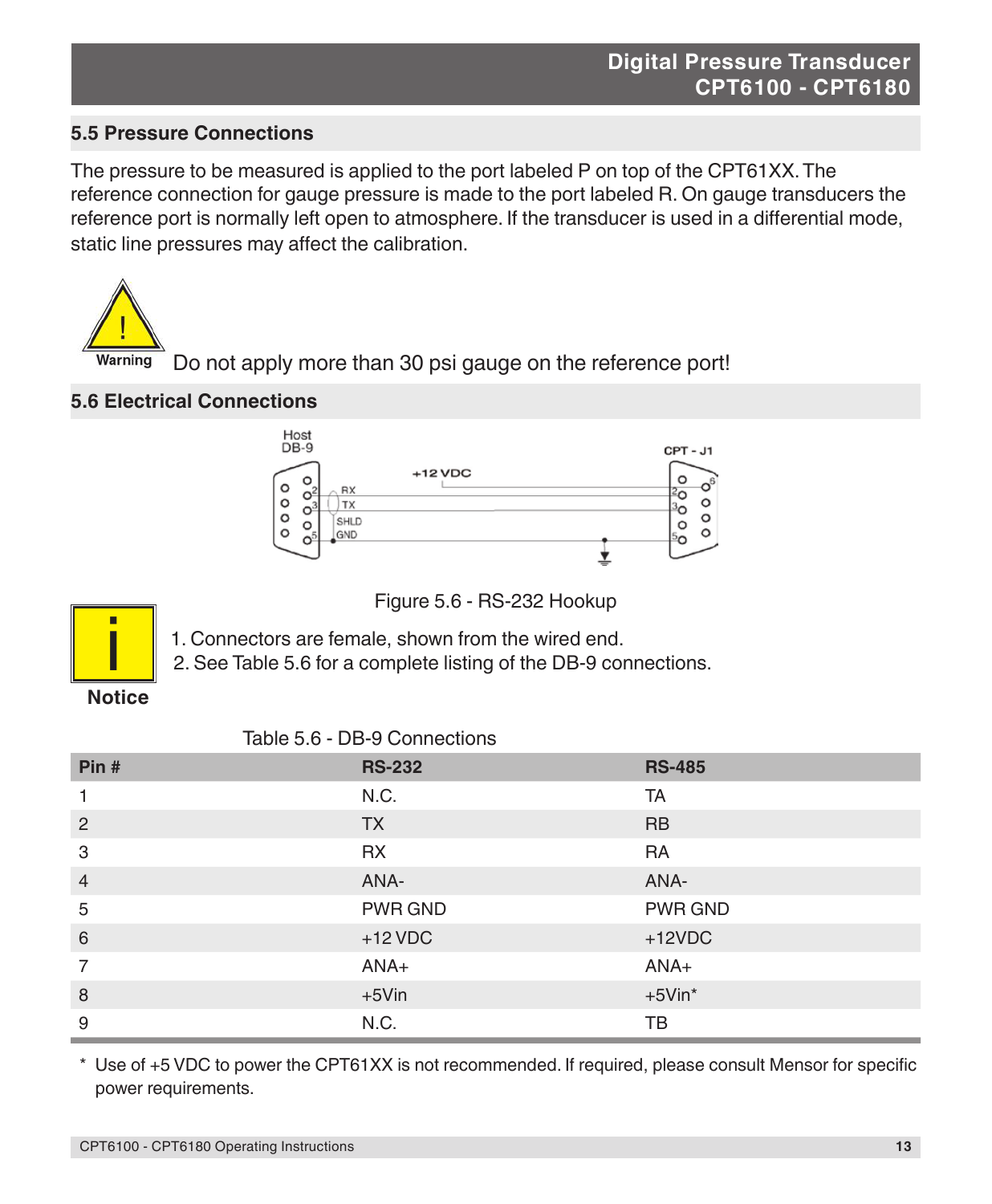# **5.5 Pressure Connections**

The pressure to be measured is applied to the port labeled P on top of the CPT61XX. The reference connection for gauge pressure is made to the port labeled R. On gauge transducers the reference port is normally left open to atmosphere. If the transducer is used in a differential mode, static line pressures may affect the calibration.



Do not apply more than 30 psi gauge on the reference port!

## **5.6 Electrical Connections**



Figure 5.6 - RS-232 Hookup



1. Connectors are female, shown from the wired end.

2. See Table 5.6 for a complete listing of the DB-9 connections.

# **Notice**

#### Table 5.6 - DB-9 Connections

| Pin#           | <b>RS-232</b>  | <b>RS-485</b>  |
|----------------|----------------|----------------|
| $\mathbf{1}$   | N.C.           | TA             |
| $\overline{2}$ | <b>TX</b>      | <b>RB</b>      |
| 3              | <b>RX</b>      | <b>RA</b>      |
| $\overline{4}$ | ANA-           | ANA-           |
| 5              | <b>PWR GND</b> | <b>PWR GND</b> |
| 6              | $+12$ VDC      | $+12VDC$       |
| $\overline{7}$ | ANA+           | ANA+           |
| 8              | $+5$ Vin       | $+5V$ in*      |
| 9              | N.C.           | TВ             |

 \* Use of +5 VDC to power the CPT61XX is not recommended. If required, please consult Mensor for specific power requirements.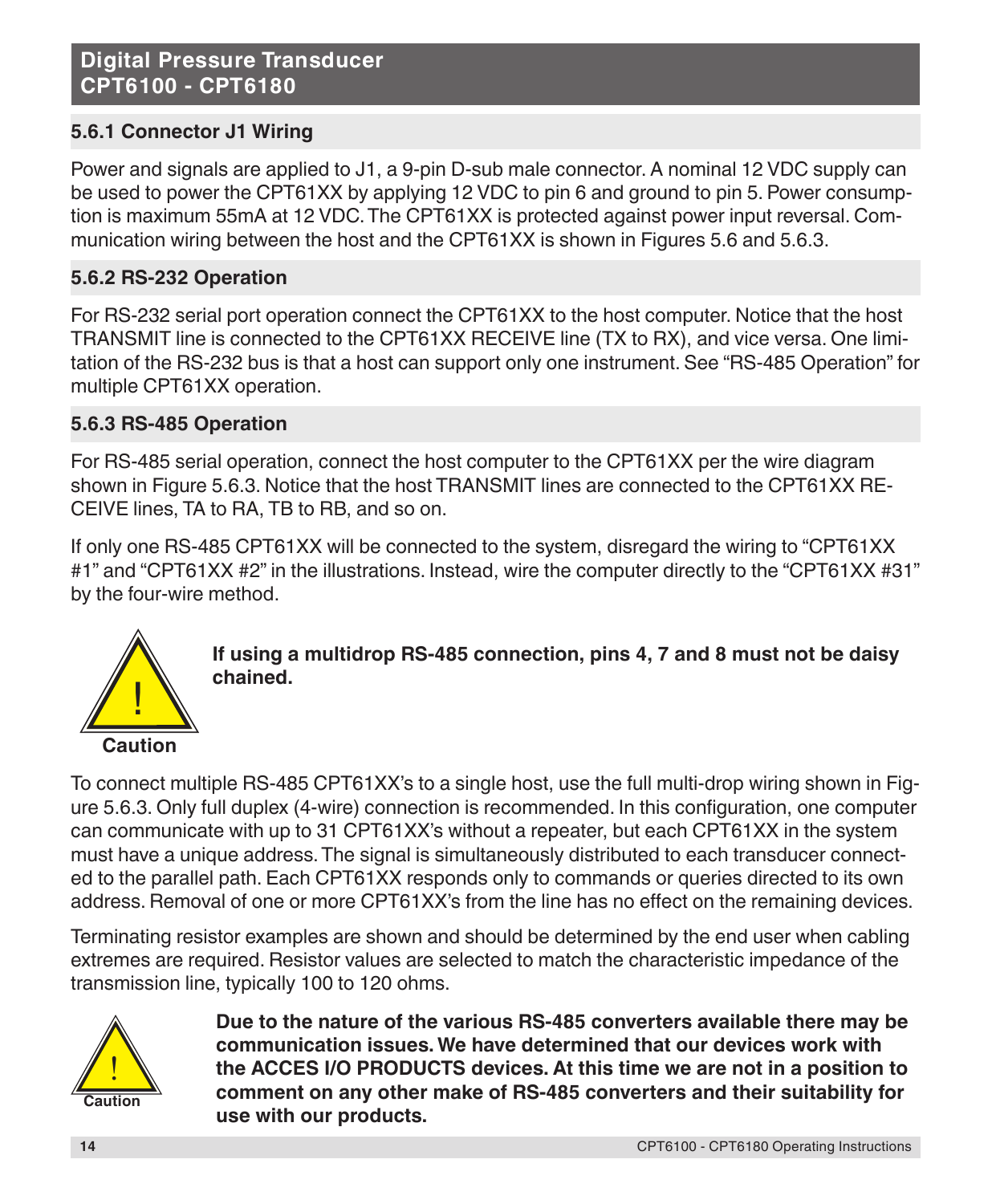# **5.6.1 Connector J1 Wiring**

Power and signals are applied to J1, a 9-pin D-sub male connector. A nominal 12 VDC supply can be used to power the CPT61XX by applying 12 VDC to pin 6 and ground to pin 5. Power consumption is maximum 55mA at 12 VDC. The CPT61XX is protected against power input reversal. Communication wiring between the host and the CPT61XX is shown in Figures 5.6 and 5.6.3.

# **5.6.2 RS-232 Operation**

For RS-232 serial port operation connect the CPT61XX to the host computer. Notice that the host TRANSMIT line is connected to the CPT61XX RECEIVE line (TX to RX), and vice versa. One limitation of the RS-232 bus is that a host can support only one instrument. See "RS-485 Operation" for multiple CPT61XX operation.

#### **5.6.3 RS-485 Operation**

For RS-485 serial operation, connect the host computer to the CPT61XX per the wire diagram shown in Figure 5.6.3. Notice that the host TRANSMIT lines are connected to the CPT61XX RE-CEIVE lines, TA to RA, TB to RB, and so on.

If only one RS-485 CPT61XX will be connected to the system, disregard the wiring to "CPT61XX #1" and "CPT61XX #2" in the illustrations. Instead, wire the computer directly to the "CPT61XX #31" by the four-wire method.



**If using a multidrop RS-485 connection, pins 4, 7 and 8 must not be daisy chained.**

To connect multiple RS-485 CPT61XX's to a single host, use the full multi-drop wiring shown in Figure 5.6.3. Only full duplex (4-wire) connection is recommended. In this configuration, one computer can communicate with up to 31 CPT61XX's without a repeater, but each CPT61XX in the system must have a unique address. The signal is simultaneously distributed to each transducer connected to the parallel path. Each CPT61XX responds only to commands or queries directed to its own address. Removal of one or more CPT61XX's from the line has no effect on the remaining devices.

Terminating resistor examples are shown and should be determined by the end user when cabling extremes are required. Resistor values are selected to match the characteristic impedance of the transmission line, typically 100 to 120 ohms.



**Due to the nature of the various RS-485 converters available there may be communication issues. We have determined that our devices work with the ACCES I/O PRODUCTS devices. At this time we are not in a position to comment on any other make of RS-485 converters and their suitability for use with our products.**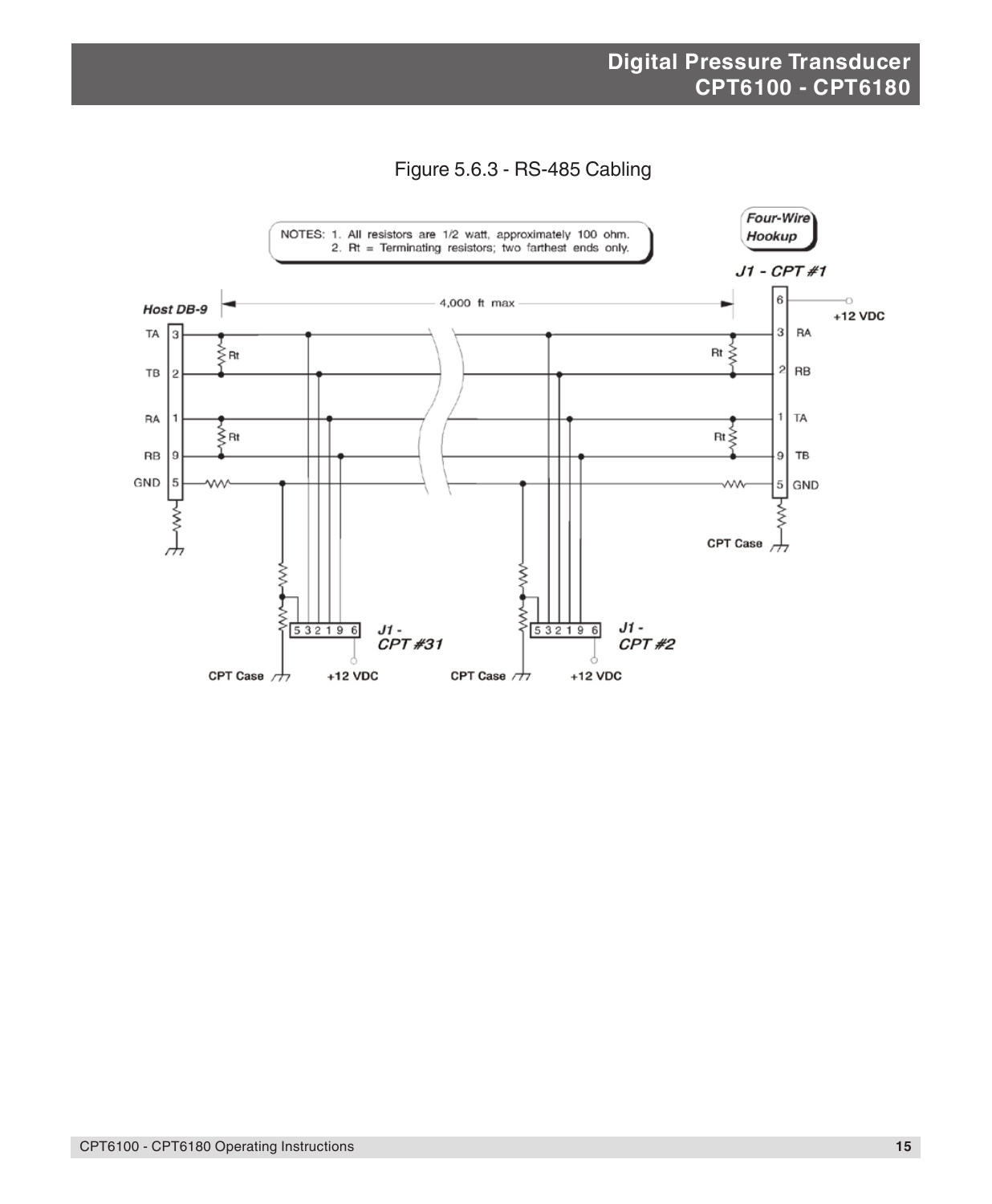

Figure 5.6.3 - RS-485 Cabling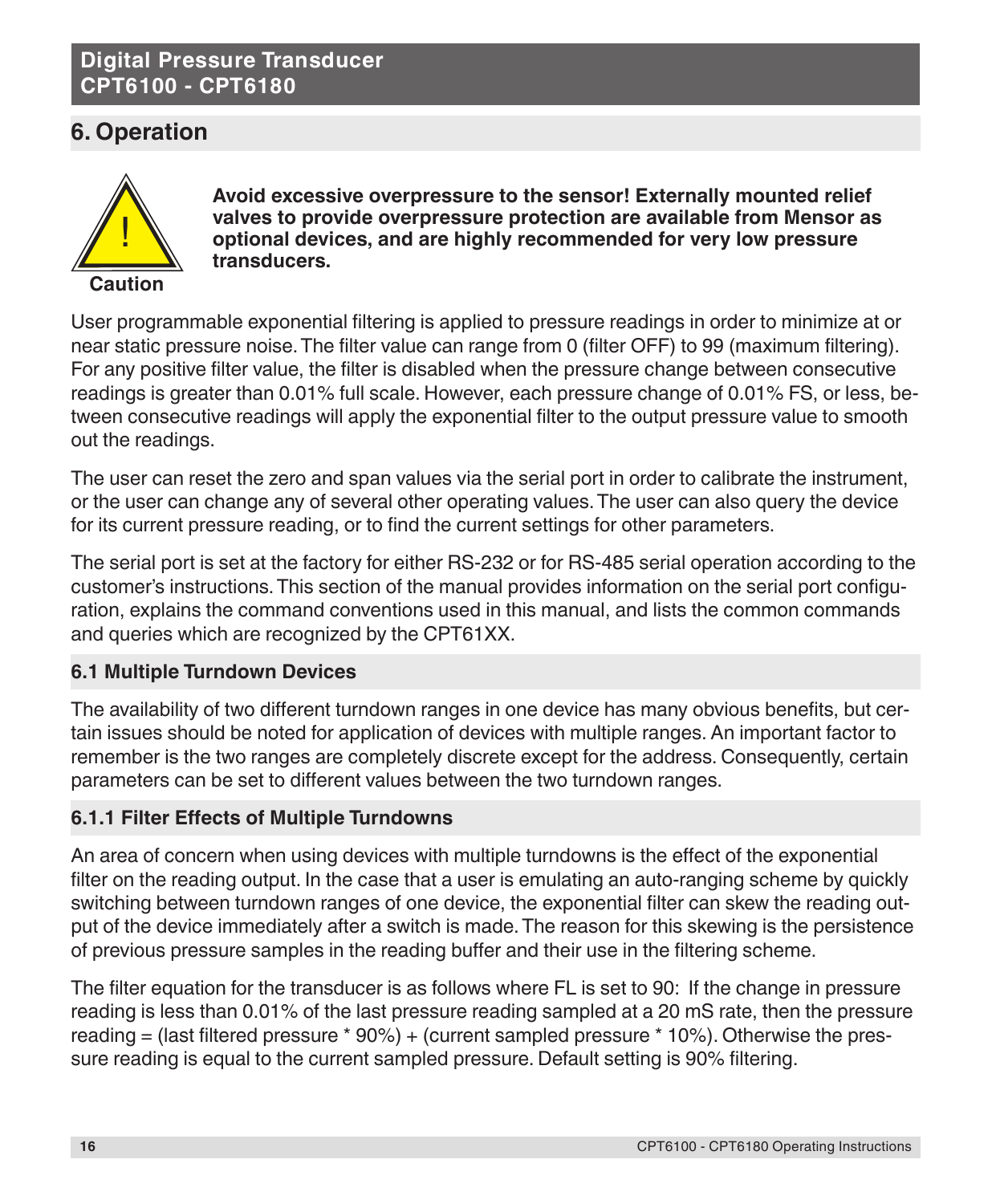# **6. Operation**



**Avoid excessive overpressure to the sensor! Externally mounted relief valves to provide overpressure protection are available from Mensor as optional devices, and are highly recommended for very low pressure transducers.**

User programmable exponential filtering is applied to pressure readings in order to minimize at or near static pressure noise. The filter value can range from 0 (filter OFF) to 99 (maximum filtering). For any positive filter value, the filter is disabled when the pressure change between consecutive readings is greater than 0.01% full scale. However, each pressure change of 0.01% FS, or less, between consecutive readings will apply the exponential filter to the output pressure value to smooth out the readings.

The user can reset the zero and span values via the serial port in order to calibrate the instrument, or the user can change any of several other operating values. The user can also query the device for its current pressure reading, or to find the current settings for other parameters.

The serial port is set at the factory for either RS-232 or for RS-485 serial operation according to the customer's instructions. This section of the manual provides information on the serial port configuration, explains the command conventions used in this manual, and lists the common commands and queries which are recognized by the CPT61XX.

# **6.1 Multiple Turndown Devices**

The availability of two different turndown ranges in one device has many obvious benefits, but certain issues should be noted for application of devices with multiple ranges. An important factor to remember is the two ranges are completely discrete except for the address. Consequently, certain parameters can be set to different values between the two turndown ranges.

## **6.1.1 Filter Effects of Multiple Turndowns**

An area of concern when using devices with multiple turndowns is the effect of the exponential filter on the reading output. In the case that a user is emulating an auto-ranging scheme by quickly switching between turndown ranges of one device, the exponential filter can skew the reading output of the device immediately after a switch is made. The reason for this skewing is the persistence of previous pressure samples in the reading buffer and their use in the filtering scheme.

The filter equation for the transducer is as follows where FL is set to 90: If the change in pressure reading is less than 0.01% of the last pressure reading sampled at a 20 mS rate, then the pressure reading = (last filtered pressure \* 90%) + (current sampled pressure \* 10%). Otherwise the pressure reading is equal to the current sampled pressure. Default setting is 90% filtering.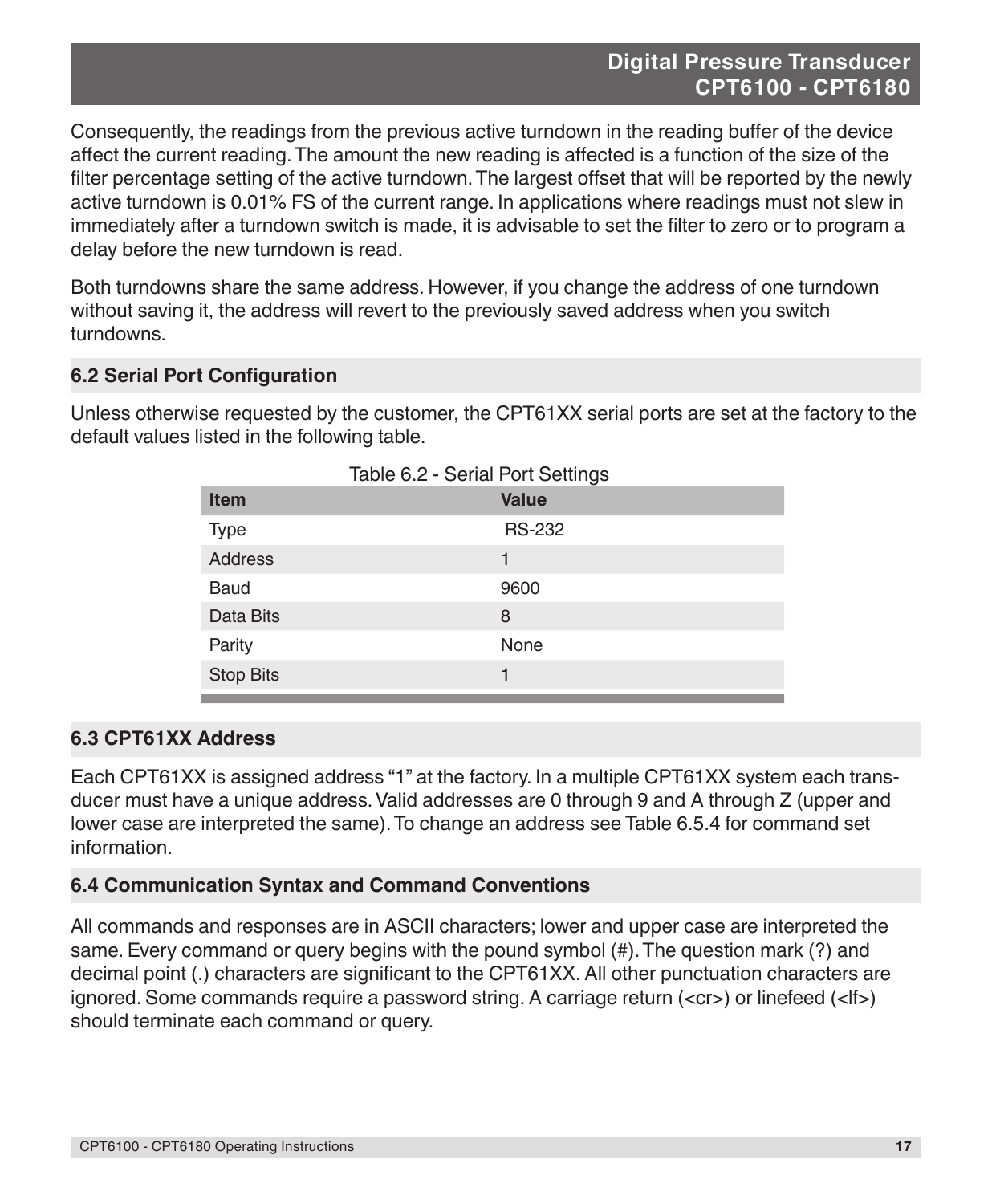Consequently, the readings from the previous active turndown in the reading buffer of the device affect the current reading. The amount the new reading is affected is a function of the size of the filter percentage setting of the active turndown. The largest offset that will be reported by the newly active turndown is 0.01% FS of the current range. In applications where readings must not slew in immediately after a turndown switch is made, it is advisable to set the filter to zero or to program a delay before the new turndown is read.

Both turndowns share the same address. However, if you change the address of one turndown without saving it, the address will revert to the previously saved address when you switch turndowns.

#### **6.2 Serial Port Configuration**

Unless otherwise requested by the customer, the CPT61XX serial ports are set at the factory to the default values listed in the following table.

| Table 6.2 - Serial Port Settings |               |  |  |
|----------------------------------|---------------|--|--|
| <b>Item</b>                      | <b>Value</b>  |  |  |
| <b>Type</b>                      | <b>RS-232</b> |  |  |
| <b>Address</b>                   | 1             |  |  |
| <b>Baud</b>                      | 9600          |  |  |
| Data Bits                        | 8             |  |  |
| Parity                           | None          |  |  |
| <b>Stop Bits</b>                 | 1             |  |  |

#### **6.3 CPT61XX Address**

Each CPT61XX is assigned address "1" at the factory. In a multiple CPT61XX system each transducer must have a unique address. Valid addresses are 0 through 9 and A through Z (upper and lower case are interpreted the same). To change an address see Table 6.5.4 for command set information.

#### **6.4 Communication Syntax and Command Conventions**

All commands and responses are in ASCII characters; lower and upper case are interpreted the same. Every command or query begins with the pound symbol (#). The question mark (?) and decimal point (.) characters are significant to the CPT61XX. All other punctuation characters are ignored. Some commands require a password string. A carriage return (<cr>) or linefeed (<lf>) should terminate each command or query.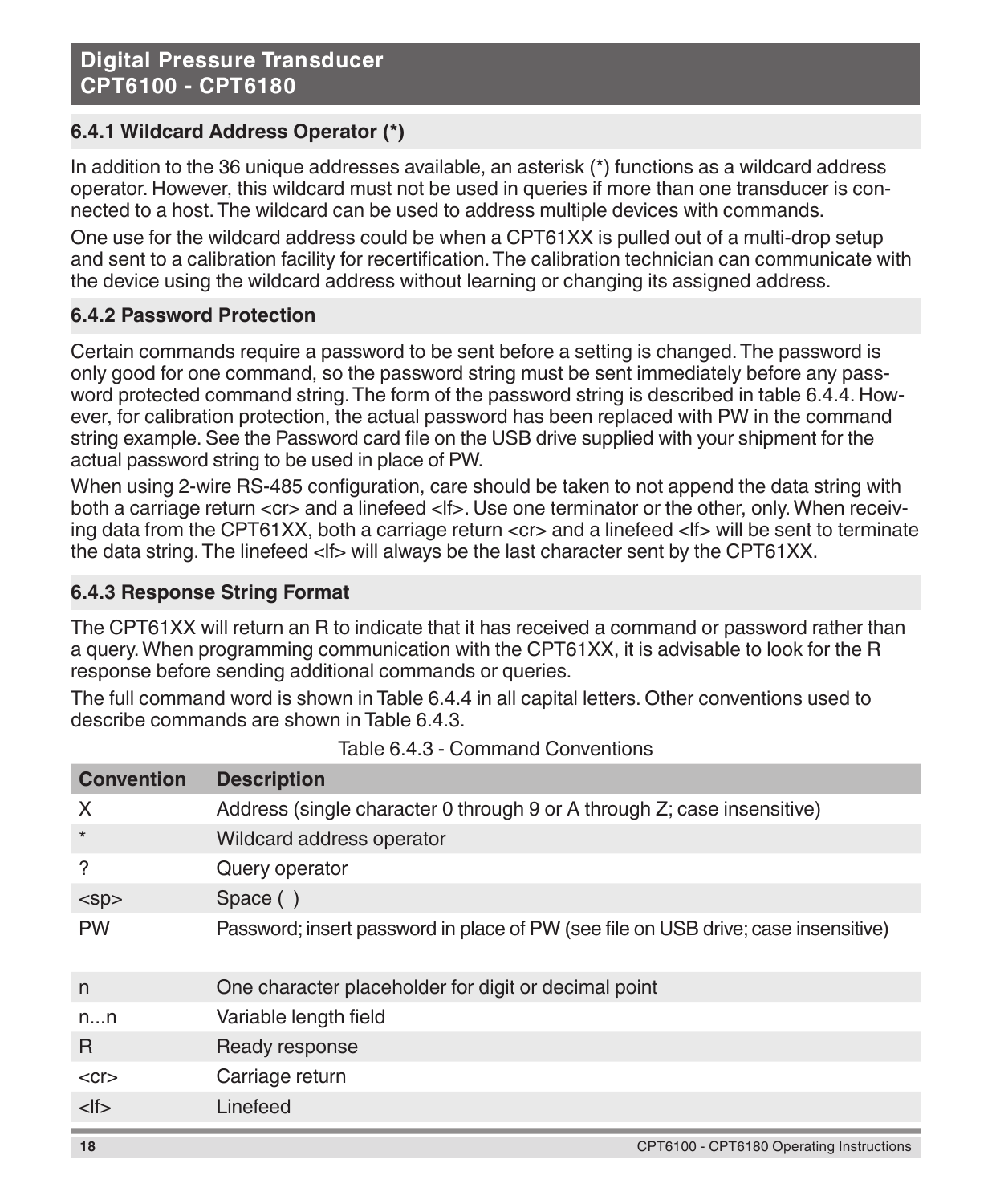# **6.4.1 Wildcard Address Operator (\*)**

In addition to the 36 unique addresses available, an asterisk (\*) functions as a wildcard address operator. However, this wildcard must not be used in queries if more than one transducer is connected to a host. The wildcard can be used to address multiple devices with commands.

One use for the wildcard address could be when a CPT61XX is pulled out of a multi-drop setup and sent to a calibration facility for recertification. The calibration technician can communicate with the device using the wildcard address without learning or changing its assigned address.

## **6.4.2 Password Protection**

Certain commands require a password to be sent before a setting is changed. The password is only good for one command, so the password string must be sent immediately before any password protected command string. The form of the password string is described in table 6.4.4. However, for calibration protection, the actual password has been replaced with PW in the command string example. See the Password card file on the USB drive supplied with your shipment for the actual password string to be used in place of PW.

When using 2-wire RS-485 configuration, care should be taken to not append the data string with both a carriage return <cr> and a linefeed <lf> Use one terminator or the other, only. When receiving data from the CPT61XX, both a carriage return <cr> and a linefeed <lf> will be sent to terminate the data string. The linefeed <lf> will always be the last character sent by the CPT61XX.

## **6.4.3 Response String Format**

The CPT61XX will return an R to indicate that it has received a command or password rather than a query. When programming communication with the CPT61XX, it is advisable to look for the R response before sending additional commands or queries.

The full command word is shown in Table 6.4.4 in all capital letters. Other conventions used to describe commands are shown in Table 6.4.3.

| <b>Convention</b> | <b>Description</b>                                                                 |
|-------------------|------------------------------------------------------------------------------------|
| X                 | Address (single character 0 through 9 or A through Z; case insensitive)            |
| $\star$           | Wildcard address operator                                                          |
| ?                 | Query operator                                                                     |
| $<$ sp $>$        | Space ()                                                                           |
| <b>PW</b>         | Password; insert password in place of PW (see file on USB drive; case insensitive) |
| n                 | One character placeholder for digit or decimal point                               |
| nn                | Variable length field                                                              |
| R                 | Ready response                                                                     |
| $<$ cr $>$        | Carriage return                                                                    |
| $<$ lf $>$        | Linefeed                                                                           |
| 18                | CPT6100 - CPT6180 Operating Instructions                                           |

Table 6.4.3 - Command Conventions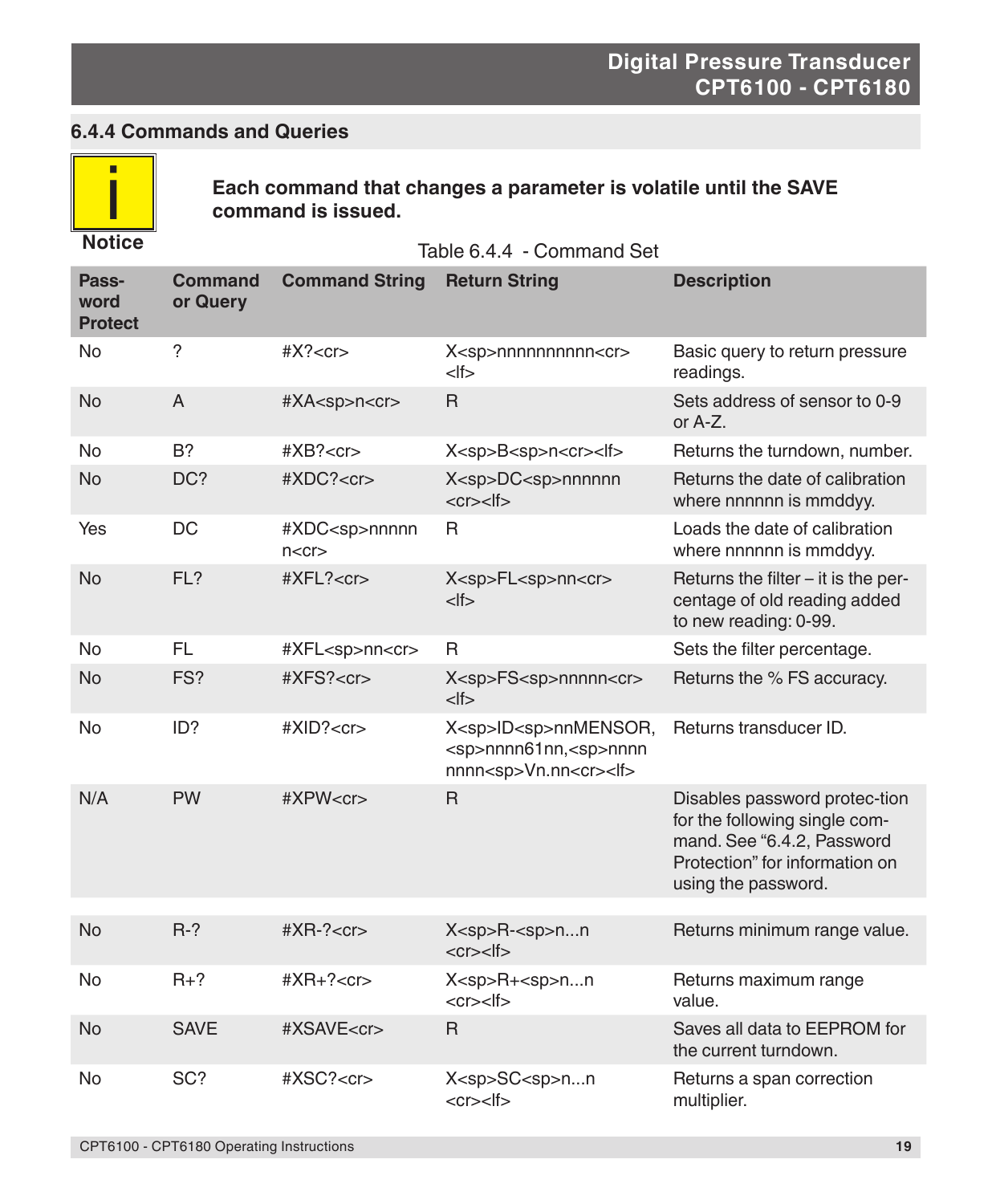# **6.4.4 Commands and Queries**



**Each command that changes a parameter is volatile until the SAVE command is issued.**

Table 6.4.4 - Command Set

| Pass-<br>word<br><b>Protect</b> | <b>Command</b><br>or Query | <b>Command String</b>                   | <b>Return String</b>                                                                                         | <b>Description</b>                                                                                                                                    |
|---------------------------------|----------------------------|-----------------------------------------|--------------------------------------------------------------------------------------------------------------|-------------------------------------------------------------------------------------------------------------------------------------------------------|
| No                              | ?                          | #X? < c r                               | X <sp>nnnnnnnnnn<cr><br/><math>&lt;</math>If<math>&gt;</math></cr></sp>                                      | Basic query to return pressure<br>readings.                                                                                                           |
| <b>No</b>                       | A                          | #XA <sp>n<cr></cr></sp>                 | $\mathsf{R}$                                                                                                 | Sets address of sensor to 0-9<br>or A-Z.                                                                                                              |
| No                              | $B$ ?                      | $\#XB? < c$ r $>$                       | X <sp>B<sp>n<cr><lf></lf></cr></sp></sp>                                                                     | Returns the turndown, number.                                                                                                                         |
| <b>No</b>                       | DC?                        | #XDC? <cr></cr>                         | X <sp>DC<sp>nnnnnn<br/><math>&lt;</math>cr<math>&gt;</math><math>&lt;</math>lf<math>&gt;</math></sp></sp>    | Returns the date of calibration<br>where nnnnnn is mmddyy.                                                                                            |
| Yes                             | DC                         | #XDC <sp>nnnnn<br/>n &lt; c r &gt;</sp> | R.                                                                                                           | Loads the date of calibration<br>where nnnnnn is mmddyy.                                                                                              |
| <b>No</b>                       | FL?                        | $\#XFL? < cr$                           | X <sp>FL<sp>nn<cr><br/><math>&lt;</math>lf<math>&gt;</math></cr></sp></sp>                                   | Returns the filter – it is the per-<br>centage of old reading added<br>to new reading: 0-99.                                                          |
| <b>No</b>                       | <b>FL</b>                  | #XFL <sp>nn<cr></cr></sp>               | R                                                                                                            | Sets the filter percentage.                                                                                                                           |
| <b>No</b>                       | FS?                        | $\#XFS? < cr$                           | X <sp>FS<sp>nnnnn<cr><br/><math>&lt;</math>If<math>&gt;</math></cr></sp></sp>                                | Returns the % FS accuracy.                                                                                                                            |
| No                              | ID?                        | #XID? < cr>                             | X <sp>ID<sp>nnMENSOR,<br/><sp>nnnn61nn,<sp>nnnn<br/>nnnn<sp>Vn.nn<cr><lf></lf></cr></sp></sp></sp></sp></sp> | Returns transducer ID.                                                                                                                                |
| N/A                             | <b>PW</b>                  | #XPW < c r                              | $\mathsf{R}$                                                                                                 | Disables password protec-tion<br>for the following single com-<br>mand. See "6.4.2, Password<br>Protection" for information on<br>using the password. |
|                                 |                            |                                         |                                                                                                              |                                                                                                                                                       |
| <b>No</b>                       | $R-?$                      | $#XR-?<r>$                              | $X<$ sp>R- $<$ sp>nn<br>$<$ cr> $<$ lf>                                                                      | Returns minimum range value.                                                                                                                          |
| No                              | $R+?$                      | $#XR+? < cr>$                           | X <sp>R+<sp>nn<br/><math>&lt;</math>cr<math>&gt;</math><math>&lt;</math>lf<math>&gt;</math></sp></sp>        | Returns maximum range<br>value.                                                                                                                       |
| <b>No</b>                       | <b>SAVE</b>                | #XSAVE <cr></cr>                        | $\mathsf{R}$                                                                                                 | Saves all data to EEPROM for<br>the current turndown.                                                                                                 |
| No                              | SC?                        | #XSC? <cr></cr>                         | X <sp>SC<sp>nn<br/><math>&lt;</math>cr<math>&gt;</math><math>&lt;</math>lf<math>&gt;</math></sp></sp>        | Returns a span correction<br>multiplier.                                                                                                              |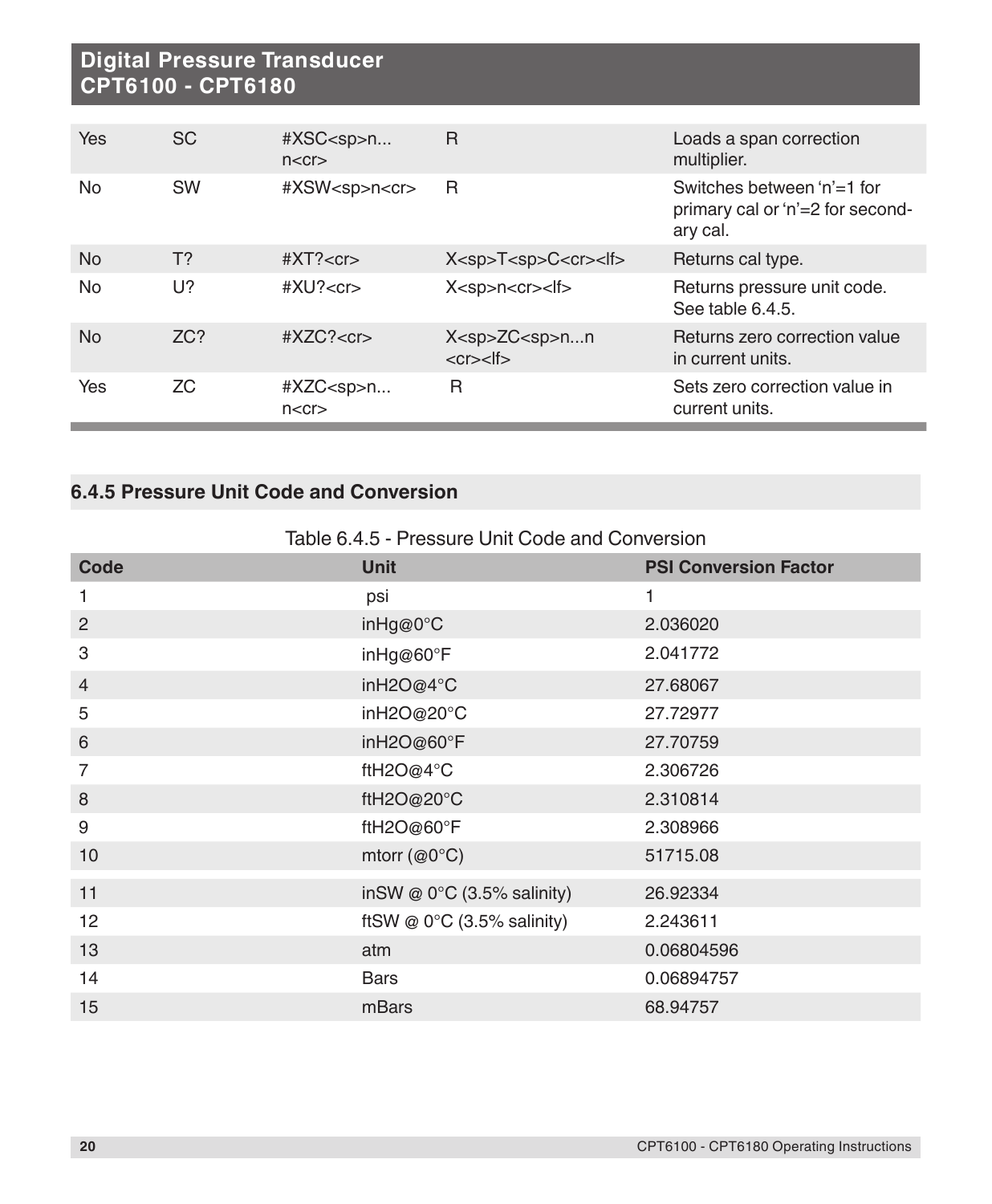| Yes       | <b>SC</b> | #XSC <sp>n<br/>n &lt; c r</sp> | R                                                | Loads a span correction<br>multiplier.                                     |
|-----------|-----------|--------------------------------|--------------------------------------------------|----------------------------------------------------------------------------|
| No.       | <b>SW</b> | #XSW <sp>n<cr></cr></sp>       | R                                                | Switches between 'n'=1 for<br>primary cal or 'n'=2 for second-<br>ary cal. |
| <b>No</b> | $T$ ?     | $\#XT?$ < $cr$ >               | $X<$ sp> $T<$ sp> $C<$ cr> $<$ lf>               | Returns cal type.                                                          |
| No.       | U?        | # $XU? < c r$                  | $X<$ sp>n $<$ cr> $<$ lf>                        | Returns pressure unit code.<br>See table 6.4.5.                            |
| <b>No</b> | ZC?       | $\#XZC? < cr$                  | $X<$ sp> $ZC<$ sp> $nn$<br>$<$ cr $>$ $<$ lf $>$ | Returns zero correction value<br>in current units.                         |
| Yes       | ZC.       | #XZC <sp>n<br/>n &lt; c r</sp> | R                                                | Sets zero correction value in<br>current units.                            |

# **6.4.5 Pressure Unit Code and Conversion**

| Table 6.4.5 - Pressure Unit Code and Conversion |
|-------------------------------------------------|
|-------------------------------------------------|

| <b>Code</b>    | <b>Unit</b>                          | <b>PSI Conversion Factor</b> |
|----------------|--------------------------------------|------------------------------|
| 1              | psi                                  | 1                            |
| $\overline{2}$ | inHg@0°C                             | 2.036020                     |
| 3              | inHg@60°F                            | 2.041772                     |
| $\overline{4}$ | inH2O@4°C                            | 27.68067                     |
| 5              | inH2O@20°C                           | 27.72977                     |
| 6              | inH2O@60°F                           | 27.70759                     |
| $\overline{7}$ | ftH2O@4°C                            | 2.306726                     |
| 8              | ftH2O@20°C                           | 2.310814                     |
| 9              | ftH2O@60°F                           | 2.308966                     |
| 10             | mtorr ( $@0^{\circ}C$ )              | 51715.08                     |
| 11             | inSW @ $0^{\circ}$ C (3.5% salinity) | 26.92334                     |
| 12             | ftSW @ $0^{\circ}$ C (3.5% salinity) | 2.243611                     |
| 13             | atm                                  | 0.06804596                   |
| 14             | <b>Bars</b>                          | 0.06894757                   |
| 15             | mBars                                | 68.94757                     |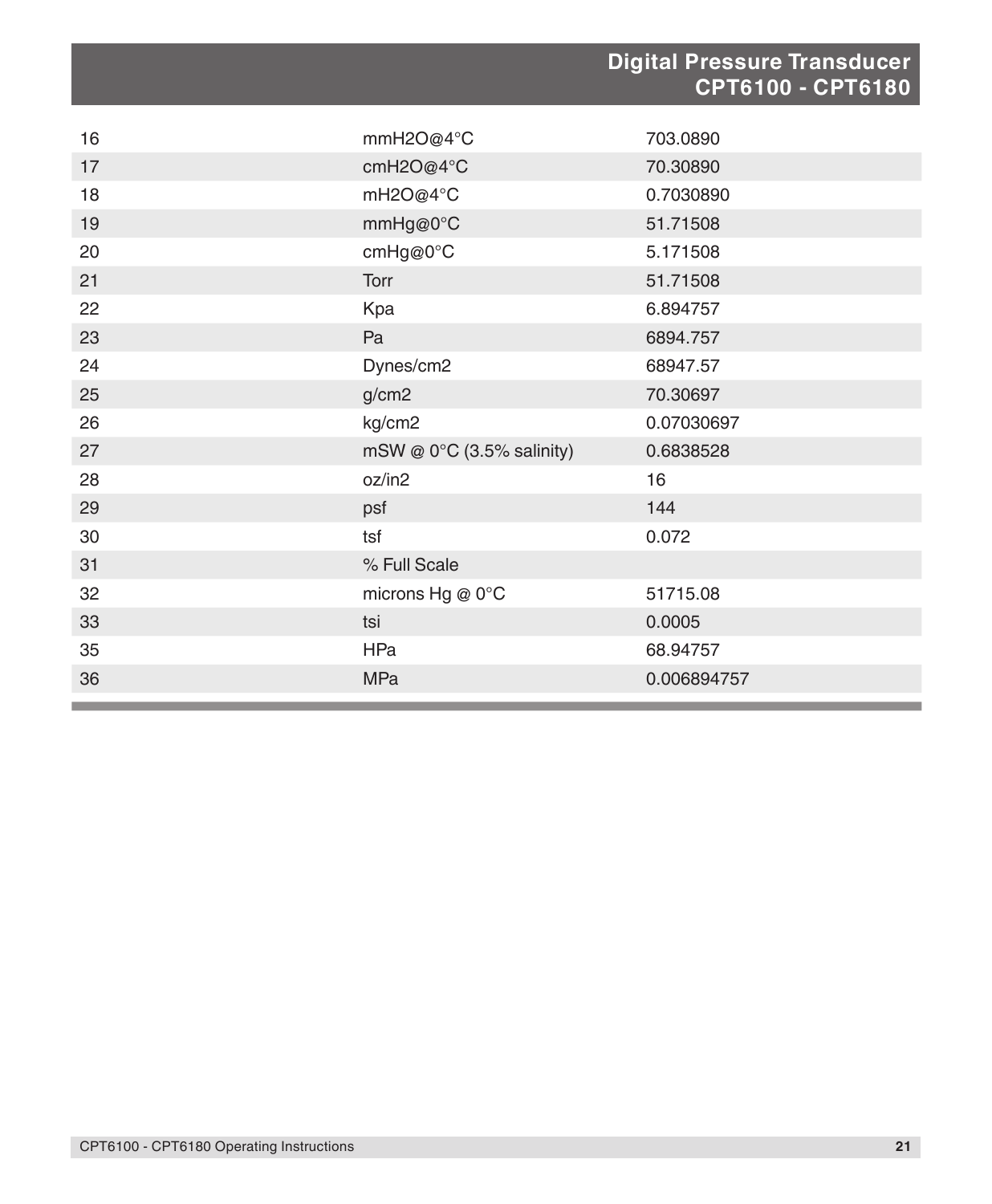|    |                           | <b>Digital Pressure Transducer</b><br>CPT6100 - CPT6180 |
|----|---------------------------|---------------------------------------------------------|
| 16 | mmH2O@4°C                 | 703.0890                                                |
| 17 | cmH2O@4°C                 | 70.30890                                                |
| 18 | mH2O@4°C                  | 0.7030890                                               |
| 19 | mmHg@0°C                  | 51.71508                                                |
| 20 | cmHg@0°C                  | 5.171508                                                |
| 21 | <b>Torr</b>               | 51.71508                                                |
| 22 | Kpa                       | 6.894757                                                |
| 23 | Pa                        | 6894.757                                                |
| 24 | Dynes/cm2                 | 68947.57                                                |
| 25 | g/cm2                     | 70.30697                                                |
| 26 | kg/cm2                    | 0.07030697                                              |
| 27 | mSW @ 0°C (3.5% salinity) | 0.6838528                                               |
| 28 | oz/in2                    | 16                                                      |
| 29 | psf                       | 144                                                     |
| 30 | tsf                       | 0.072                                                   |
| 31 | % Full Scale              |                                                         |
| 32 | microns Hg @ 0°C          | 51715.08                                                |
| 33 | tsi                       | 0.0005                                                  |
| 35 | HPa                       | 68.94757                                                |
| 36 | <b>MPa</b>                | 0.006894757                                             |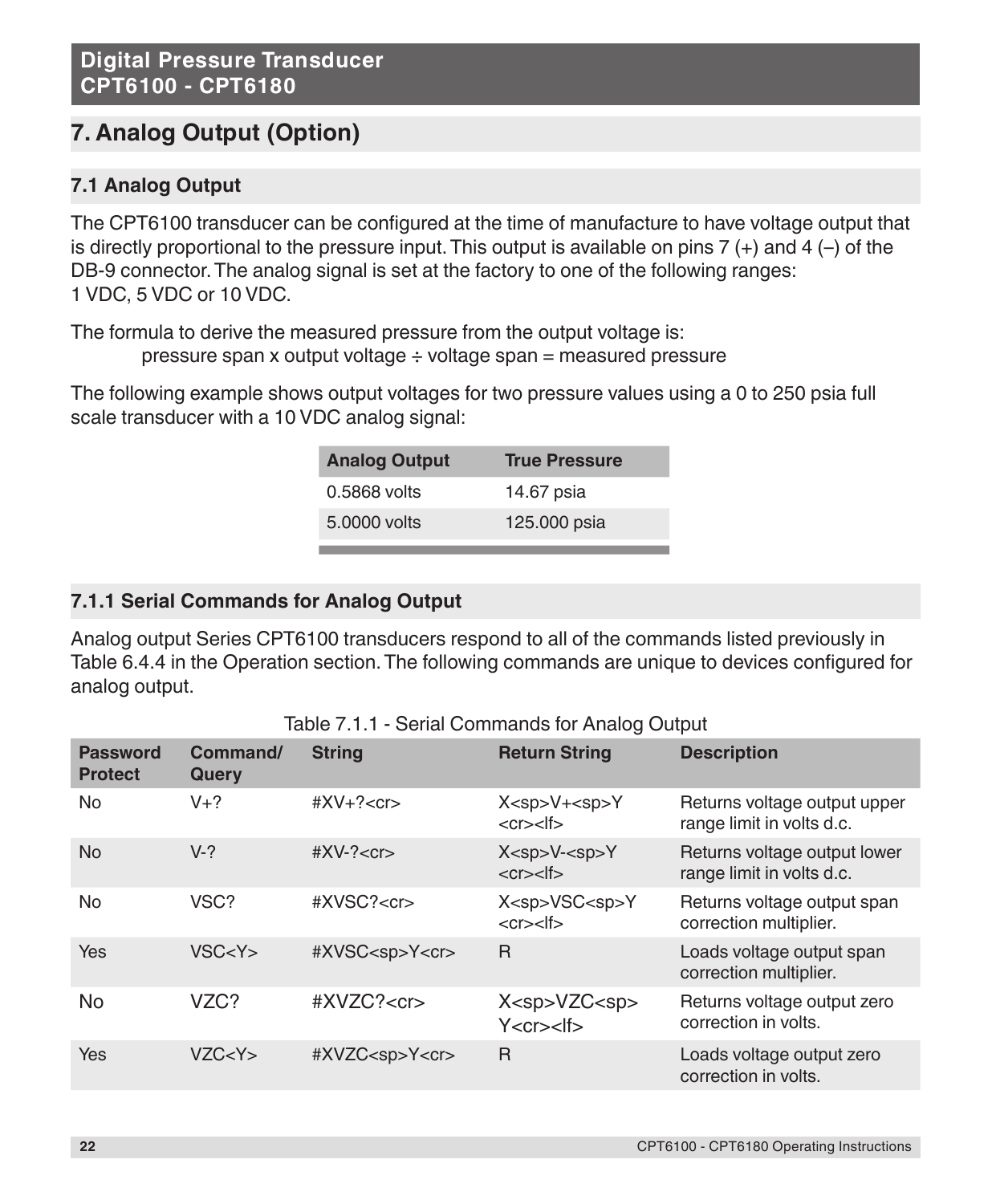# **7. Analog Output (Option)**

# **7.1 Analog Output**

The CPT6100 transducer can be configured at the time of manufacture to have voltage output that is directly proportional to the pressure input. This output is available on pins  $7 (+)$  and  $4 (-)$  of the DB-9 connector. The analog signal is set at the factory to one of the following ranges: 1 VDC, 5 VDC or 10 VDC.

The formula to derive the measured pressure from the output voltage is:

pressure span x output voltage  $\div$  voltage span = measured pressure

The following example shows output voltages for two pressure values using a 0 to 250 psia full scale transducer with a 10 VDC analog signal:

| <b>Analog Output</b> | <b>True Pressure</b> |
|----------------------|----------------------|
| 0.5868 volts         | 14.67 psia           |
| 5.0000 volts         | 125,000 psia         |

# **7.1.1 Serial Commands for Analog Output**

Analog output Series CPT6100 transducers respond to all of the commands listed previously in Table 6.4.4 in the Operation section. The following commands are unique to devices configured for analog output.

Table 7.1.1 - Serial Commands for Analog Output

| <b>Password</b><br><b>Protect</b> | Command/<br>Query | <b>String</b>             | <b>Return String</b>                                                                                  | <b>Description</b>                                        |
|-----------------------------------|-------------------|---------------------------|-------------------------------------------------------------------------------------------------------|-----------------------------------------------------------|
| <b>No</b>                         | $V+?$             | $#XV+? < cr>$             | X <sp>V+<sp>Y<br/><cr><lf></lf></cr></sp></sp>                                                        | Returns voltage output upper<br>range limit in volts d.c. |
| <b>No</b>                         | $V-?$             | $\#XV-? < c$ r $>$        | X <sp>V<sp>Y<br/><math>&lt;</math>cr<math>&gt;</math><math>&lt;</math>lf<math>&gt;</math></sp></sp>   | Returns voltage output lower<br>range limit in volts d.c. |
| <b>No</b>                         | VSC?              | #XVSC? <cr></cr>          | X <sp>VSC<sp>Y<br/><math>&lt;</math>cr<math>&gt;</math><math>&lt;</math>lf<math>&gt;</math></sp></sp> | Returns voltage output span<br>correction multiplier.     |
| Yes                               | VSC < Y >         | #XVSC <sp>Y<cr></cr></sp> | R                                                                                                     | Loads voltage output span<br>correction multiplier.       |
| No                                | VZC?              | #XVZC? <cr></cr>          | X <sp>VZC<sp><br/>Y &lt; c r &gt; &lt;  f&gt;</sp></sp>                                               | Returns voltage output zero<br>correction in volts.       |
| Yes                               | VZC < Y >         | #XVZC <sp>Y<cr></cr></sp> | R                                                                                                     | Loads voltage output zero<br>correction in volts.         |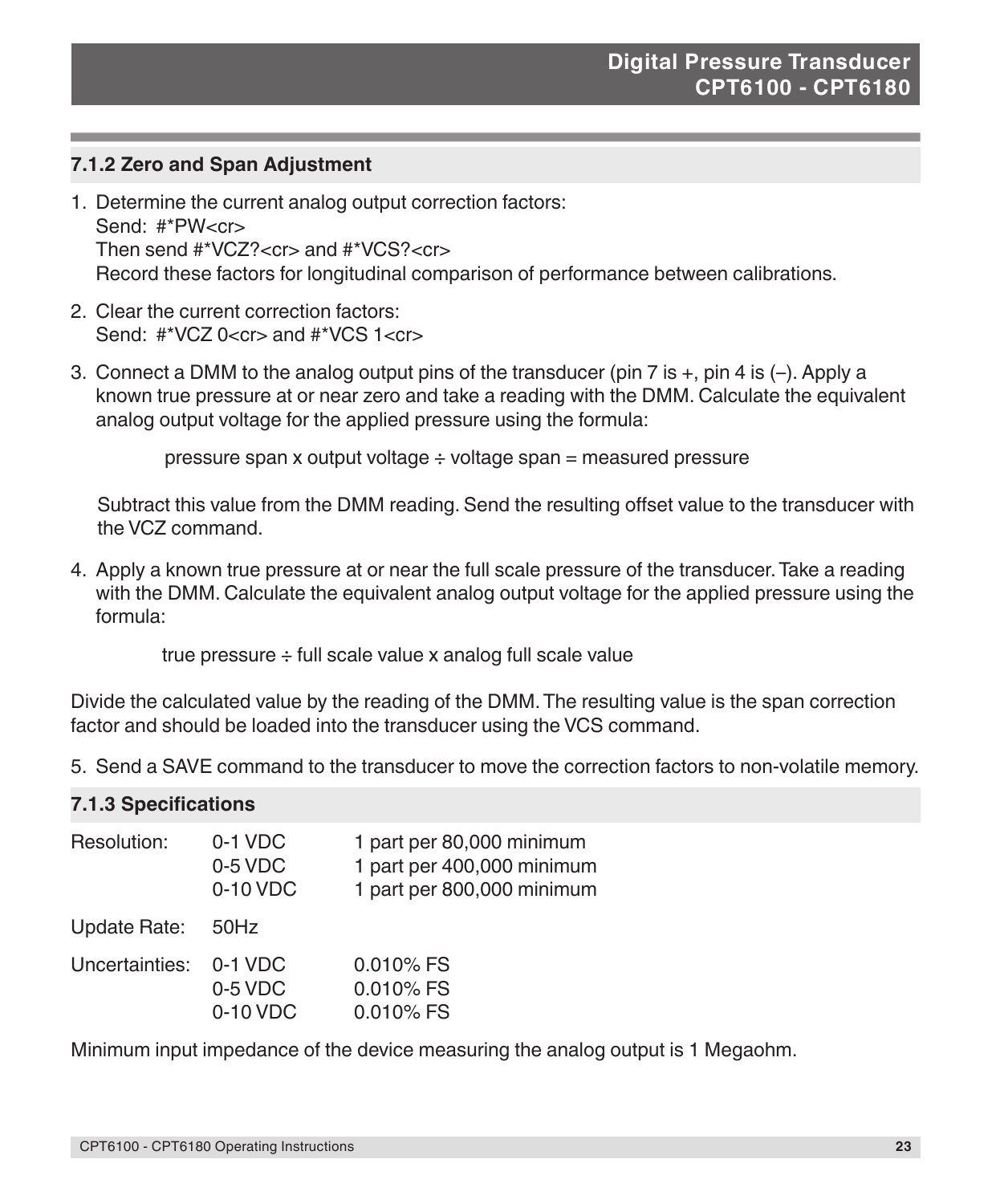## **7.1.2 Zero and Span Adjustment**

- 1. Determine the current analog output correction factors: Send: #\*PW<cr> Then send #\*VCZ?<cr> and #\*VCS?<cr> Record these factors for longitudinal comparison of performance between calibrations.
- 2. Clear the current correction factors: Send: #\*VC7 0<cr> and #\*VCS 1<cr>
- 3. Connect a DMM to the analog output pins of the transducer (pin 7 is  $+$ , pin 4 is  $(-)$ . Apply a known true pressure at or near zero and take a reading with the DMM. Calculate the equivalent analog output voltage for the applied pressure using the formula:

pressure span x output voltage ÷ voltage span = measured pressure

Subtract this value from the DMM reading. Send the resulting offset value to the transducer with the VCZ command.

4. Apply a known true pressure at or near the full scale pressure of the transducer. Take a reading with the DMM. Calculate the equivalent analog output voltage for the applied pressure using the formula:

true pressure ÷ full scale value x analog full scale value

Divide the calculated value by the reading of the DMM. The resulting value is the span correction factor and should be loaded into the transducer using the VCS command.

5. Send a SAVE command to the transducer to move the correction factors to non-volatile memory.

#### **7.1.3 Specifications**

| Resolution:    | $0-1$ VDC<br>0-5 VDC<br>$0-10$ VDC   | 1 part per 80,000 minimum<br>1 part per 400,000 minimum<br>1 part per 800,000 minimum |
|----------------|--------------------------------------|---------------------------------------------------------------------------------------|
| Update Rate:   | 50Hz                                 |                                                                                       |
| Uncertainties: | $0-1$ VDC<br>$0-5$ VDC<br>$0-10$ VDC | $0.010\%$ FS<br>$0.010\%$ FS<br>0.010% FS                                             |

Minimum input impedance of the device measuring the analog output is 1 Megaohm.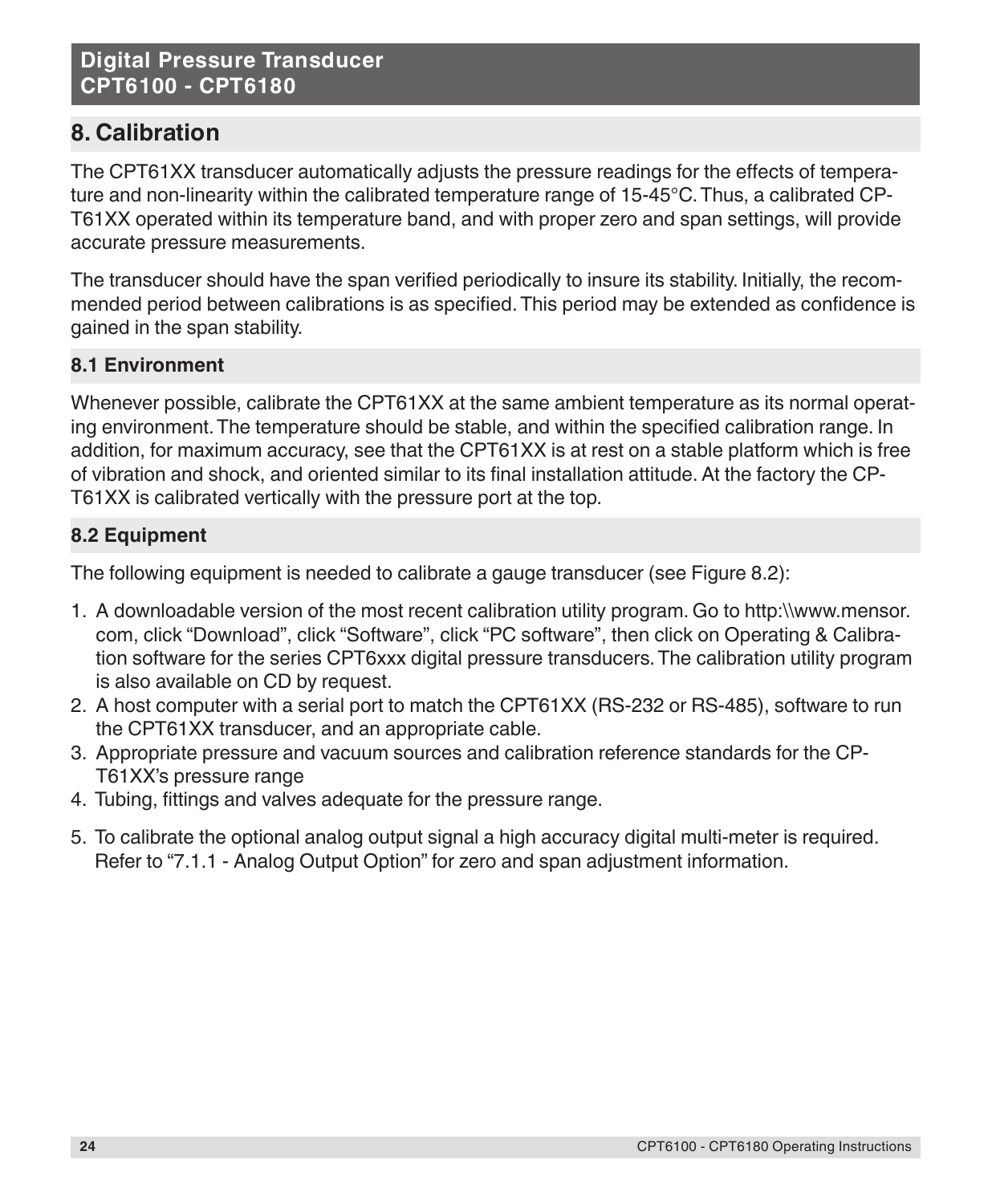# **8. Calibration**

The CPT61XX transducer automatically adjusts the pressure readings for the effects of temperature and non-linearity within the calibrated temperature range of 15-45°C. Thus, a calibrated CP-T61XX operated within its temperature band, and with proper zero and span settings, will provide accurate pressure measurements.

The transducer should have the span verified periodically to insure its stability. Initially, the recommended period between calibrations is as specified. This period may be extended as confidence is gained in the span stability.

# **8.1 Environment**

Whenever possible, calibrate the CPT61XX at the same ambient temperature as its normal operating environment. The temperature should be stable, and within the specified calibration range. In addition, for maximum accuracy, see that the CPT61XX is at rest on a stable platform which is free of vibration and shock, and oriented similar to its final installation attitude. At the factory the CP-T61XX is calibrated vertically with the pressure port at the top.

# **8.2 Equipment**

The following equipment is needed to calibrate a gauge transducer (see Figure 8.2):

- 1. A downloadable version of the most recent calibration utility program. Go to http:\\www.mensor. com, click "Download", click "Software", click "PC software", then click on Operating & Calibration software for the series CPT6xxx digital pressure transducers. The calibration utility program is also available on CD by request.
- 2. A host computer with a serial port to match the CPT61XX (RS-232 or RS-485), software to run the CPT61XX transducer, and an appropriate cable.
- 3. Appropriate pressure and vacuum sources and calibration reference standards for the CP-T61XX's pressure range
- 4. Tubing, fittings and valves adequate for the pressure range.
- 5. To calibrate the optional analog output signal a high accuracy digital multi-meter is required. Refer to "7.1.1 - Analog Output Option" for zero and span adjustment information.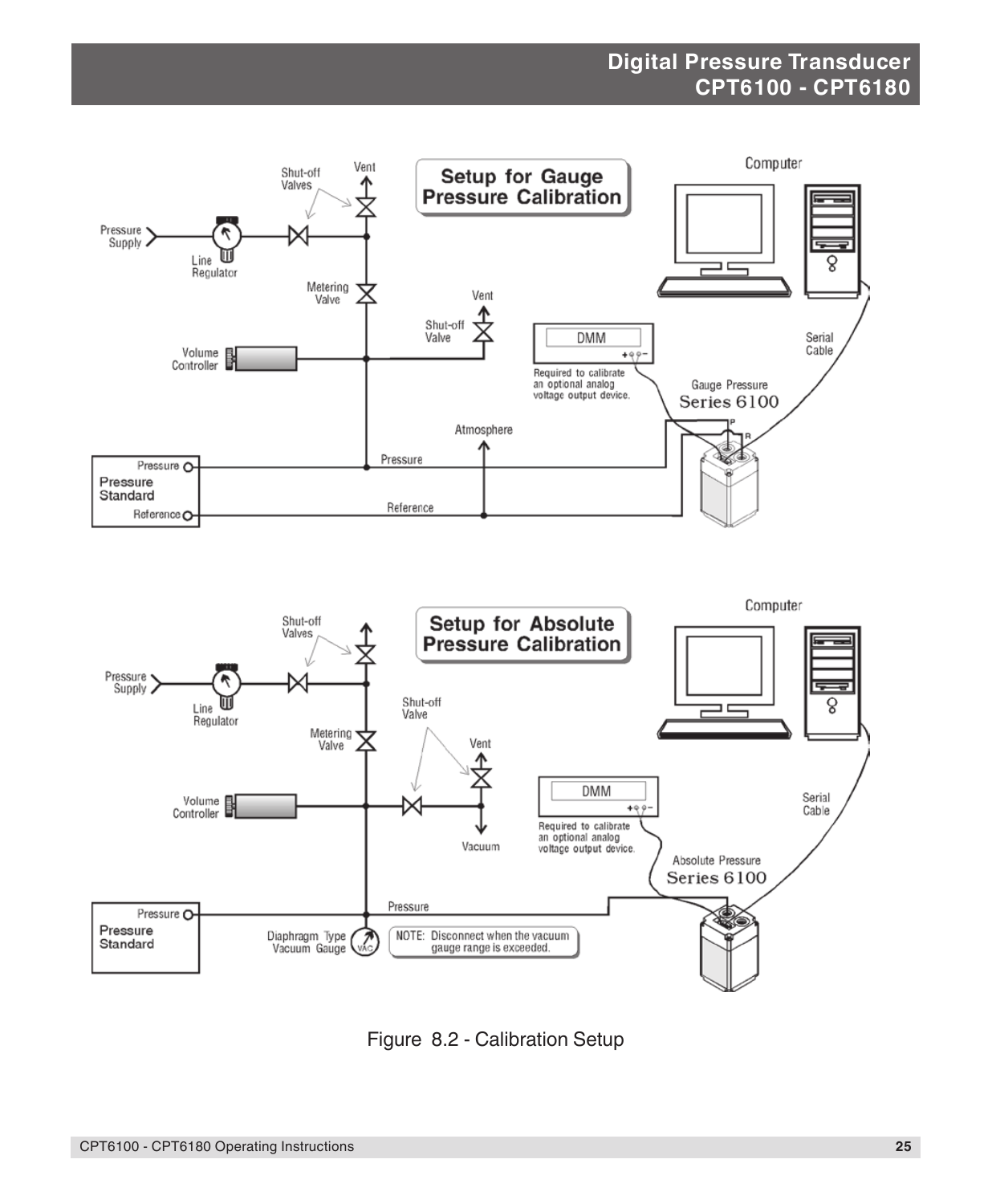



Figure 8.2 - Calibration Setup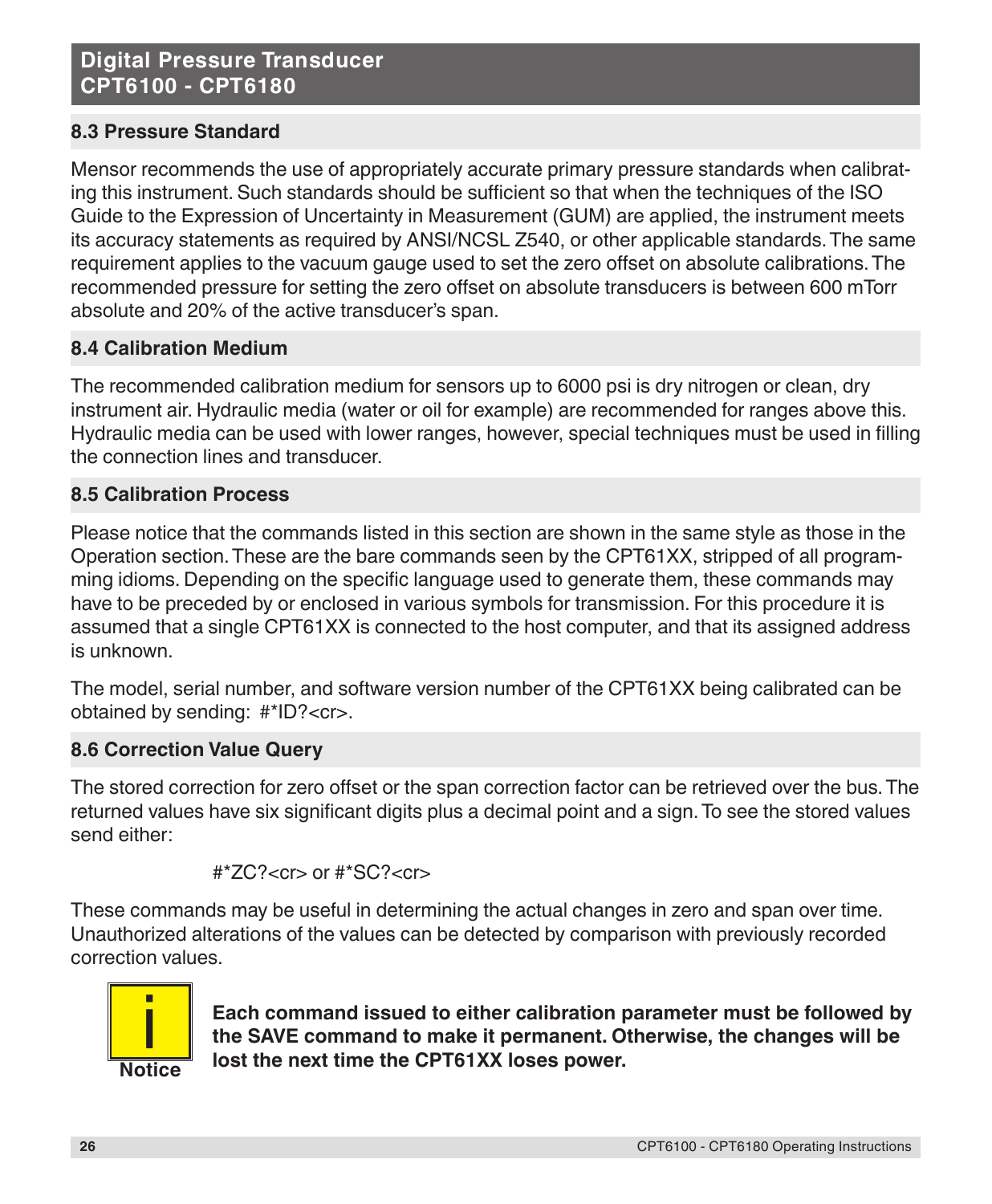# **8.3 Pressure Standard**

Mensor recommends the use of appropriately accurate primary pressure standards when calibrating this instrument. Such standards should be sufficient so that when the techniques of the ISO Guide to the Expression of Uncertainty in Measurement (GUM) are applied, the instrument meets its accuracy statements as required by ANSI/NCSL Z540, or other applicable standards. The same requirement applies to the vacuum gauge used to set the zero offset on absolute calibrations. The recommended pressure for setting the zero offset on absolute transducers is between 600 mTorr absolute and 20% of the active transducer's span.

## **8.4 Calibration Medium**

The recommended calibration medium for sensors up to 6000 psi is dry nitrogen or clean, dry instrument air. Hydraulic media (water or oil for example) are recommended for ranges above this. Hydraulic media can be used with lower ranges, however, special techniques must be used in filling the connection lines and transducer.

## **8.5 Calibration Process**

Please notice that the commands listed in this section are shown in the same style as those in the Operation section. These are the bare commands seen by the CPT61XX, stripped of all programming idioms. Depending on the specific language used to generate them, these commands may have to be preceded by or enclosed in various symbols for transmission. For this procedure it is assumed that a single CPT61XX is connected to the host computer, and that its assigned address is unknown.

The model, serial number, and software version number of the CPT61XX being calibrated can be obtained by sending: #\*ID?<cr>.

#### **8.6 Correction Value Query**

The stored correction for zero offset or the span correction factor can be retrieved over the bus. The returned values have six significant digits plus a decimal point and a sign. To see the stored values send either:

#\*ZC?<cr> or #\*SC?<cr>

These commands may be useful in determining the actual changes in zero and span over time. Unauthorized alterations of the values can be detected by comparison with previously recorded correction values.



**Each command issued to either calibration parameter must be followed by the SAVE command to make it permanent. Otherwise, the changes will be lost the next time the CPT61XX loses power.**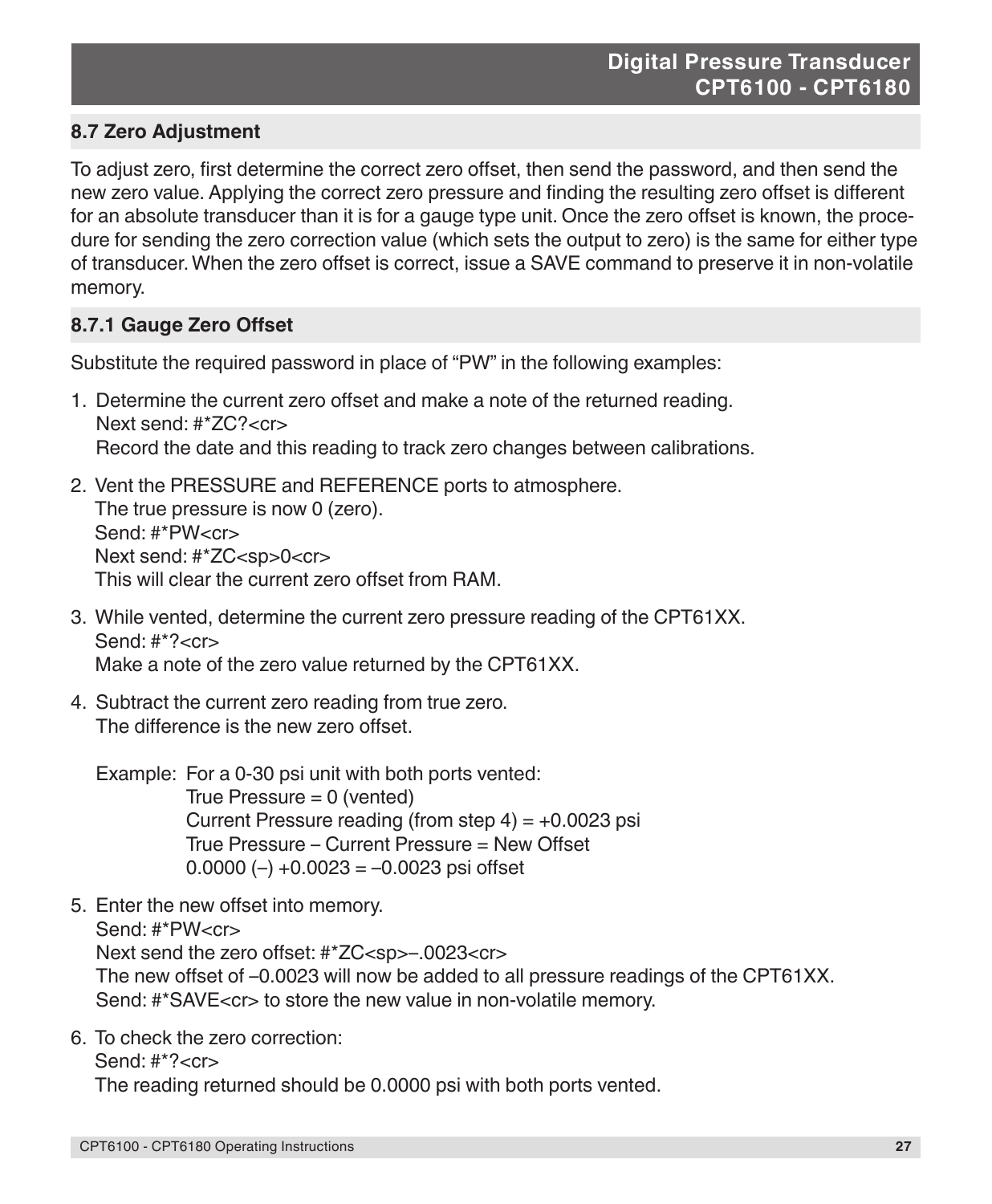# **8.7 Zero Adjustment**

To adjust zero, first determine the correct zero offset, then send the password, and then send the new zero value. Applying the correct zero pressure and finding the resulting zero offset is different for an absolute transducer than it is for a gauge type unit. Once the zero offset is known, the procedure for sending the zero correction value (which sets the output to zero) is the same for either type of transducer. When the zero offset is correct, issue a SAVE command to preserve it in non-volatile memory.

# **8.7.1 Gauge Zero Offset**

Substitute the required password in place of "PW" in the following examples:

- 1. Determine the current zero offset and make a note of the returned reading. Next send: #\*ZC?<cr> Record the date and this reading to track zero changes between calibrations.
- 2. Vent the PRESSURE and REFERENCE ports to atmosphere. The true pressure is now 0 (zero). Send: #\*PW<cr> Next send: #\*ZC<sp>0<cr> This will clear the current zero offset from RAM.
- 3. While vented, determine the current zero pressure reading of the CPT61XX. Send:  $\#^*? < c$ r $>$ Make a note of the zero value returned by the CPT61XX.
- 4. Subtract the current zero reading from true zero. The difference is the new zero offset.

Example: For a 0-30 psi unit with both ports vented: True Pressure = 0 (vented) Current Pressure reading (from step  $4$ ) =  $+0.0023$  psi True Pressure – Current Pressure = New Offset 0.0000 ( $-$ ) +0.0023 =  $-0.0023$  psi offset

- 5. Enter the new offset into memory. Send: #\*PW<cr> Next send the zero offset: #\*ZC<sp>-.0023<cr> The new offset of –0.0023 will now be added to all pressure readings of the CPT61XX. Send: #\*SAVE<cr> to store the new value in non-volatile memory.
- 6. To check the zero correction:

Send: #\*?<cr>

The reading returned should be 0.0000 psi with both ports vented.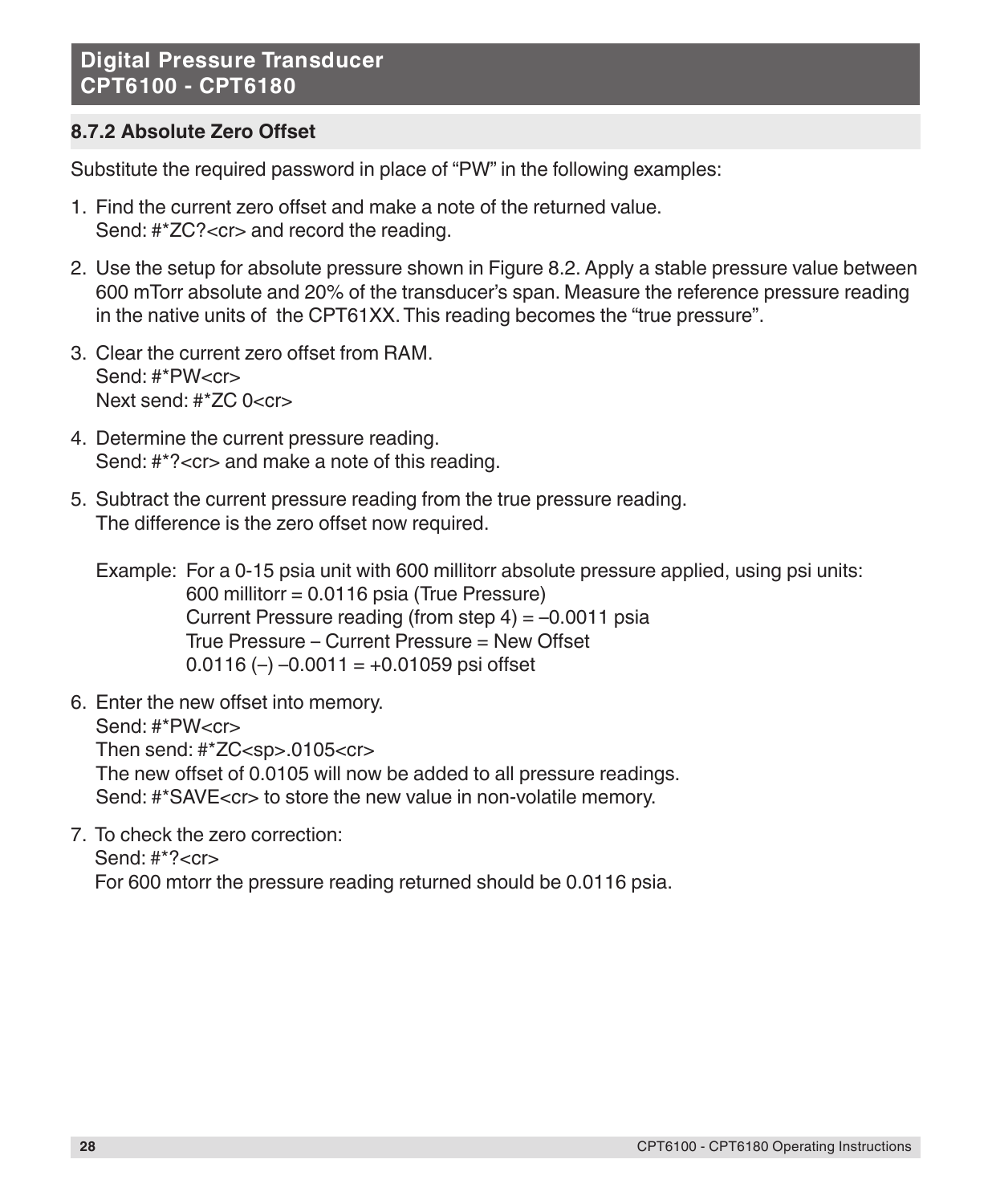# **8.7.2 Absolute Zero Offset**

Substitute the required password in place of "PW" in the following examples:

- 1. Find the current zero offset and make a note of the returned value. Send: #\*ZC?<cr> and record the reading.
- 2. Use the setup for absolute pressure shown in Figure 8.2. Apply a stable pressure value between 600 mTorr absolute and 20% of the transducer's span. Measure the reference pressure reading in the native units of the CPT61XX. This reading becomes the "true pressure".
- 3. Clear the current zero offset from RAM. Send: #\*PW<cr> Next send: #\*ZC 0<cr>
- 4. Determine the current pressure reading. Send: #\*?<cr> and make a note of this reading.
- 5. Subtract the current pressure reading from the true pressure reading. The difference is the zero offset now required.

Example: For a 0-15 psia unit with 600 millitorr absolute pressure applied, using psi units: 600 millitorr = 0.0116 psia (True Pressure) Current Pressure reading (from step  $4$ ) =  $-0.0011$  psia True Pressure – Current Pressure = New Offset 0.0116 (-)  $-0.0011 = +0.01059$  psi offset

- 6. Enter the new offset into memory. Send: #\*PW<cr> Then send: #\*ZC<sp>.0105<cr> The new offset of 0.0105 will now be added to all pressure readings. Send: #\*SAVE<cr> to store the new value in non-volatile memory.
- 7. To check the zero correction: Send: #\*?<cr> For 600 mtorr the pressure reading returned should be 0.0116 psia.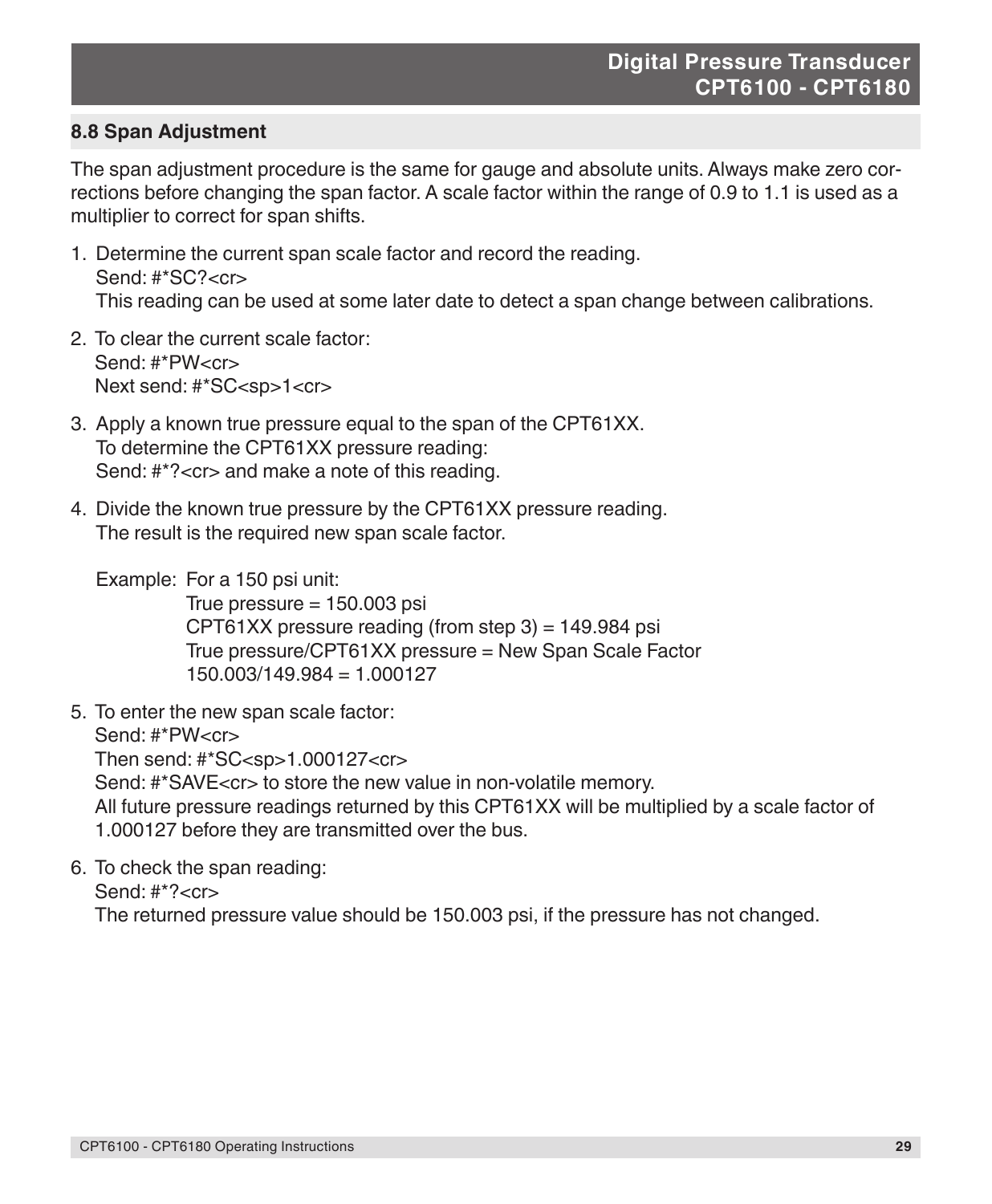## **8.8 Span Adjustment**

The span adjustment procedure is the same for gauge and absolute units. Always make zero corrections before changing the span factor. A scale factor within the range of 0.9 to 1.1 is used as a multiplier to correct for span shifts.

- 1. Determine the current span scale factor and record the reading. Send: #\*SC?<cr> This reading can be used at some later date to detect a span change between calibrations.
- 2. To clear the current scale factor: Send: #\*PW<cr> Next send: #\*SC<sp>1<cr>
- 3. Apply a known true pressure equal to the span of the CPT61XX. To determine the CPT61XX pressure reading: Send: #\*?<cr> and make a note of this reading.
- 4. Divide the known true pressure by the CPT61XX pressure reading. The result is the required new span scale factor.
	- Example: For a 150 psi unit:

True pressure  $= 150.003$  psi  $CPT61XX$  pressure reading (from step 3) = 149.984 psi True pressure/CPT61XX pressure = New Span Scale Factor 150.003/149.984 = 1.000127

5. To enter the new span scale factor:

Send: #\*PW<cr>

Then send: #\*SC<sp>1.000127<cr>

Send: #\*SAVE<cr> to store the new value in non-volatile memory.

All future pressure readings returned by this CPT61XX will be multiplied by a scale factor of 1.000127 before they are transmitted over the bus.

6. To check the span reading:

Send: #\*?<cr>

The returned pressure value should be 150.003 psi, if the pressure has not changed.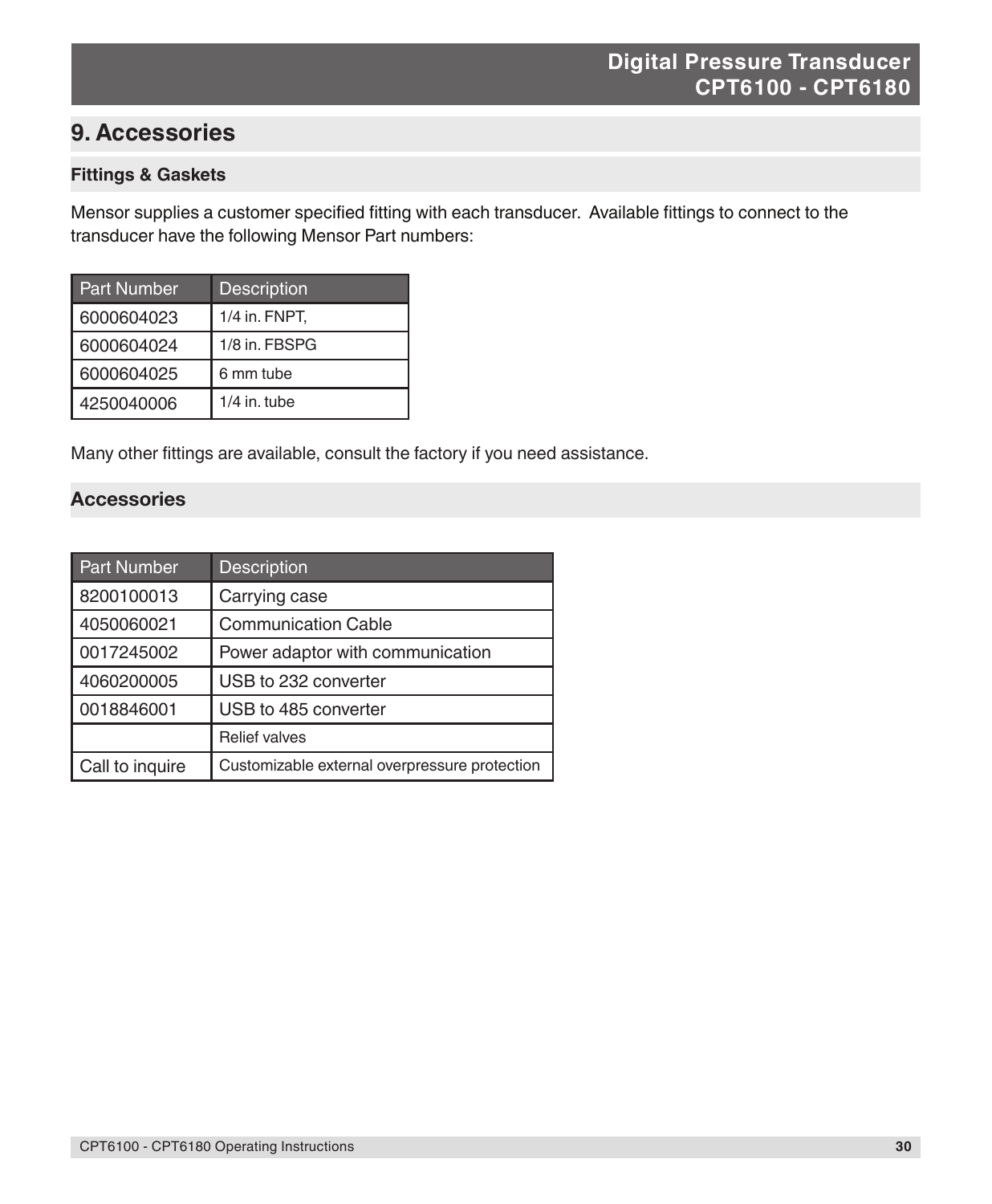# **9. Accessories**

#### **Fittings & Gaskets**

Mensor supplies a customer specified fitting with each transducer. Available fittings to connect to the transducer have the following Mensor Part numbers:

| <b>Part Number</b> | <b>Description</b> |
|--------------------|--------------------|
| 6000604023         | 1/4 in. FNPT,      |
| 6000604024         | 1/8 in. FBSPG      |
| 6000604025         | 6 mm tube          |
| 4250040006         | $1/4$ in. tube     |

Many other fittings are available, consult the factory if you need assistance.

#### **Accessories**

| <b>Part Number</b> | <b>Description</b>                            |
|--------------------|-----------------------------------------------|
| 8200100013         | Carrying case                                 |
| 4050060021         | <b>Communication Cable</b>                    |
| 0017245002         | Power adaptor with communication              |
| 4060200005         | USB to 232 converter                          |
| 0018846001         | USB to 485 converter                          |
|                    | <b>Relief valves</b>                          |
| Call to inquire    | Customizable external overpressure protection |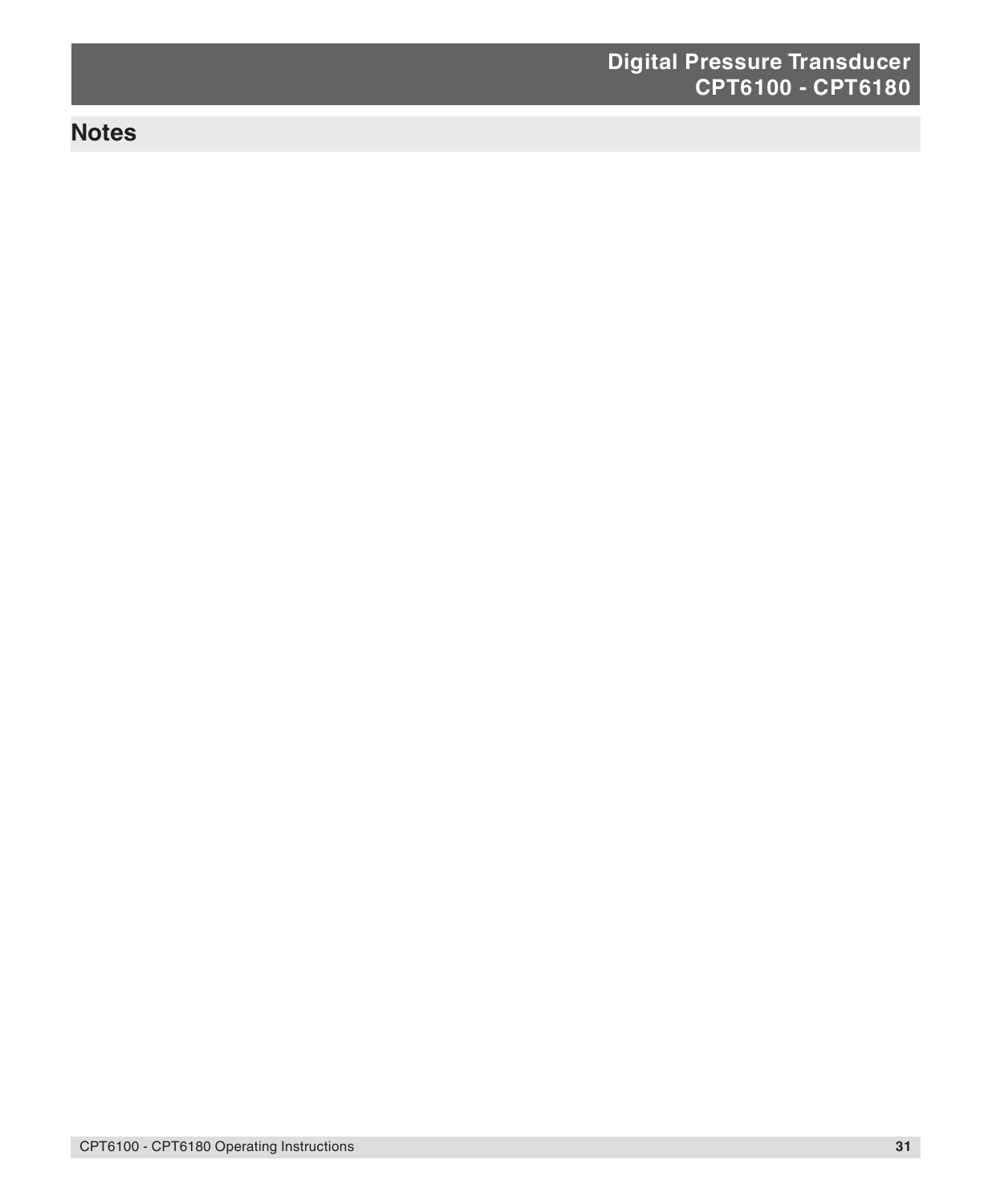# **Notes**